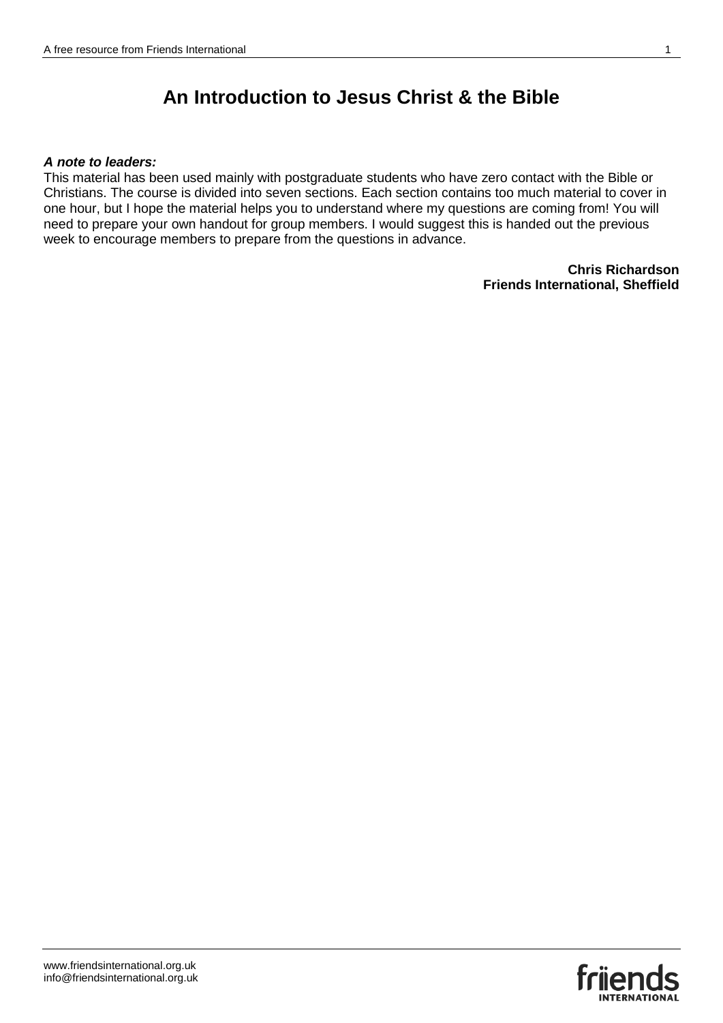#### *A note to leaders:*

This material has been used mainly with postgraduate students who have zero contact with the Bible or Christians. The course is divided into seven sections. Each section contains too much material to cover in one hour, but I hope the material helps you to understand where my questions are coming from! You will need to prepare your own handout for group members. I would suggest this is handed out the previous week to encourage members to prepare from the questions in advance.

> **Chris Richardson Friends International, Sheffield**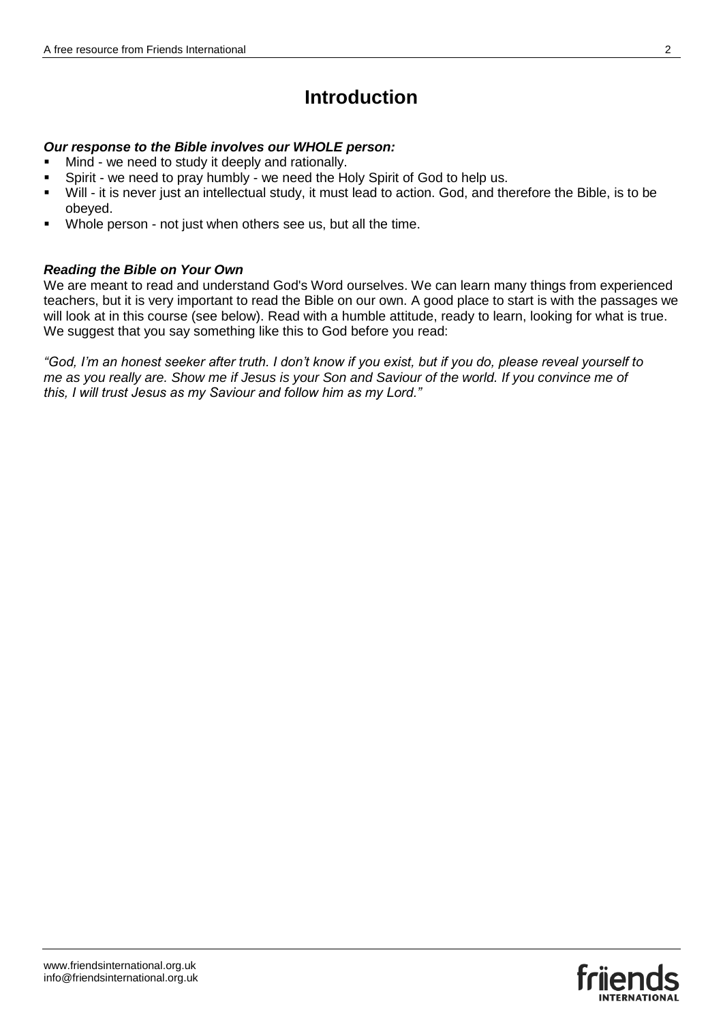# **Introduction**

## *Our response to the Bible involves our WHOLE person:*

- Mind we need to study it deeply and rationally.
- Spirit we need to pray humbly we need the Holy Spirit of God to help us.
- Will it is never just an intellectual study, it must lead to action. God, and therefore the Bible, is to be obeyed.
- Whole person not just when others see us, but all the time.

## *Reading the Bible on Your Own*

We are meant to read and understand God's Word ourselves. We can learn many things from experienced teachers, but it is very important to read the Bible on our own. A good place to start is with the passages we will look at in this course (see below). Read with a humble attitude, ready to learn, looking for what is true. We suggest that you say something like this to God before you read:

*"God, I'm an honest seeker after truth. I don't know if you exist, but if you do, please reveal yourself to me as you really are. Show me if Jesus is your Son and Saviour of the world. If you convince me of this, I will trust Jesus as my Saviour and follow him as my Lord."*

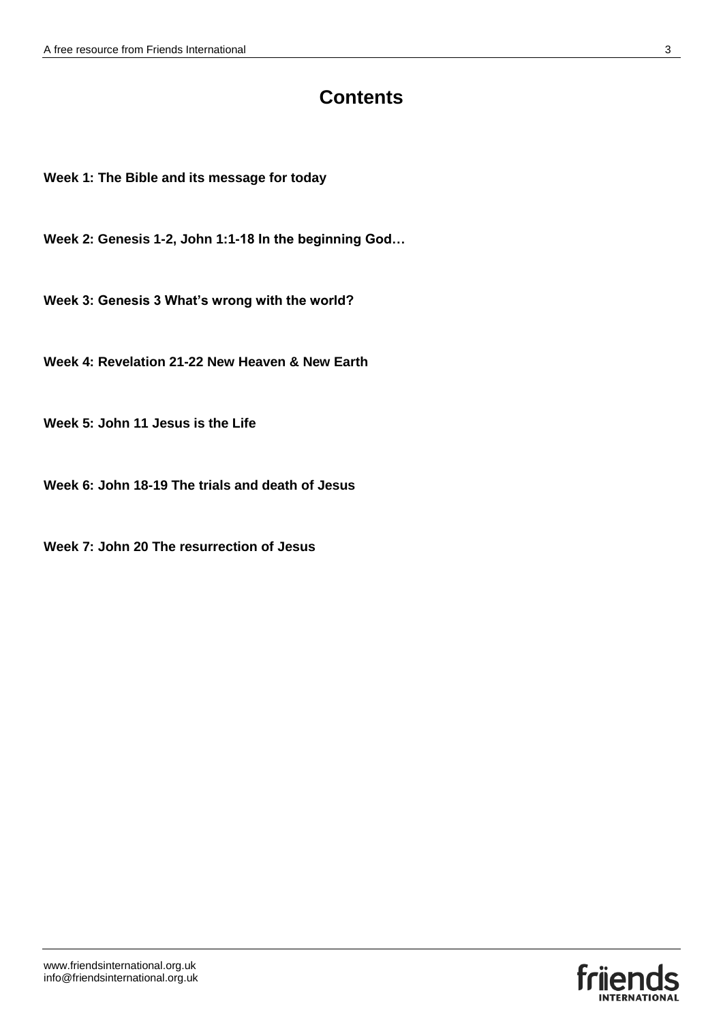## **Contents**

**Week 1: The Bible and its message for today**

**Week 2: Genesis 1-2, John 1:1-18 In the beginning God…**

**Week 3: Genesis 3 What's wrong with the world?**

**Week 4: Revelation 21-22 New Heaven & New Earth**

**Week 5: John 11 Jesus is the Life**

**Week 6: John 18-19 The trials and death of Jesus**

**Week 7: John 20 The resurrection of Jesus**

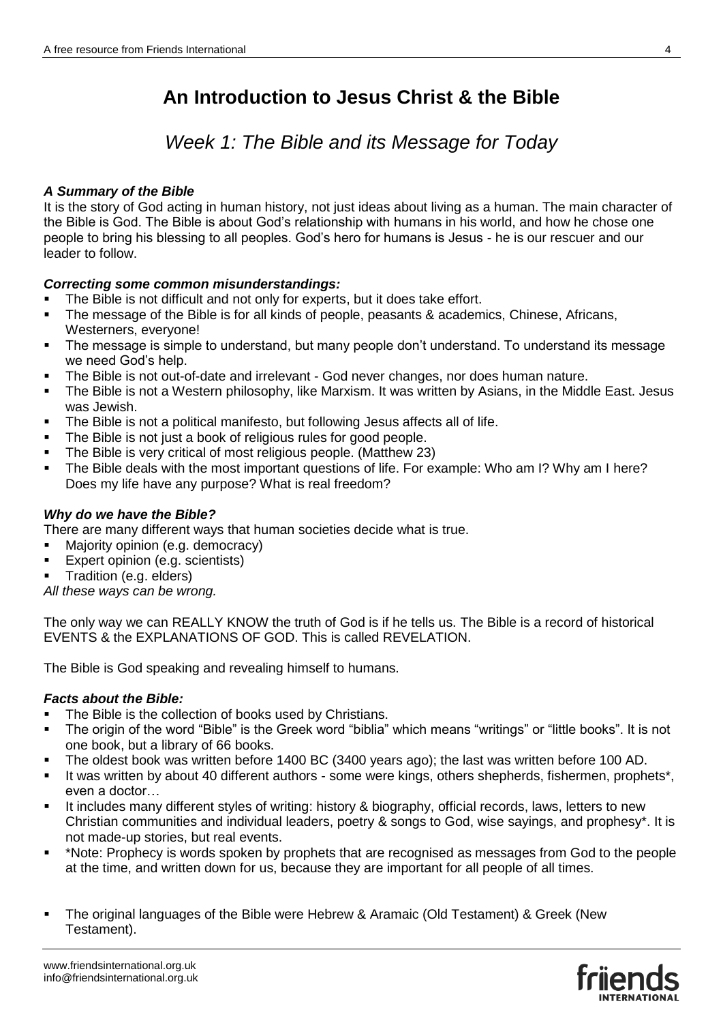## *Week 1: The Bible and its Message for Today*

## *A Summary of the Bible*

It is the story of God acting in human history, not just ideas about living as a human. The main character of the Bible is God. The Bible is about God's relationship with humans in his world, and how he chose one people to bring his blessing to all peoples. God's hero for humans is Jesus - he is our rescuer and our leader to follow.

## *Correcting some common misunderstandings:*

- The Bible is not difficult and not only for experts, but it does take effort.
- The message of the Bible is for all kinds of people, peasants & academics, Chinese, Africans, Westerners, everyone!
- The message is simple to understand, but many people don't understand. To understand its message we need God's help.
- The Bible is not out-of-date and irrelevant God never changes, nor does human nature.
- The Bible is not a Western philosophy, like Marxism. It was written by Asians, in the Middle East. Jesus was Jewish.
- The Bible is not a political manifesto, but following Jesus affects all of life.
- The Bible is not just a book of religious rules for good people.
- The Bible is very critical of most religious people. (Matthew 23)
- The Bible deals with the most important questions of life. For example: Who am I? Why am I here? Does my life have any purpose? What is real freedom?

## *Why do we have the Bible?*

There are many different ways that human societies decide what is true.

- Majority opinion (e.g. democracy)
- Expert opinion (e.g. scientists)
- Tradition (e.g. elders)

*All these ways can be wrong.*

The only way we can REALLY KNOW the truth of God is if he tells us. The Bible is a record of historical EVENTS & the EXPLANATIONS OF GOD. This is called REVELATION.

The Bible is God speaking and revealing himself to humans.

## *Facts about the Bible:*

- The Bible is the collection of books used by Christians.
- The origin of the word "Bible" is the Greek word "biblia" which means "writings" or "little books". It is not one book, but a library of 66 books.
- The oldest book was written before 1400 BC (3400 years ago); the last was written before 100 AD.
- It was written by about 40 different authors some were kings, others shepherds, fishermen, prophets\*, even a doctor…
- It includes many different styles of writing: history & biography, official records, laws, letters to new Christian communities and individual leaders, poetry & songs to God, wise sayings, and prophesy\*. It is not made-up stories, but real events.
- \*Note: Prophecy is words spoken by prophets that are recognised as messages from God to the people at the time, and written down for us, because they are important for all people of all times.
- The original languages of the Bible were Hebrew & Aramaic (Old Testament) & Greek (New Testament).

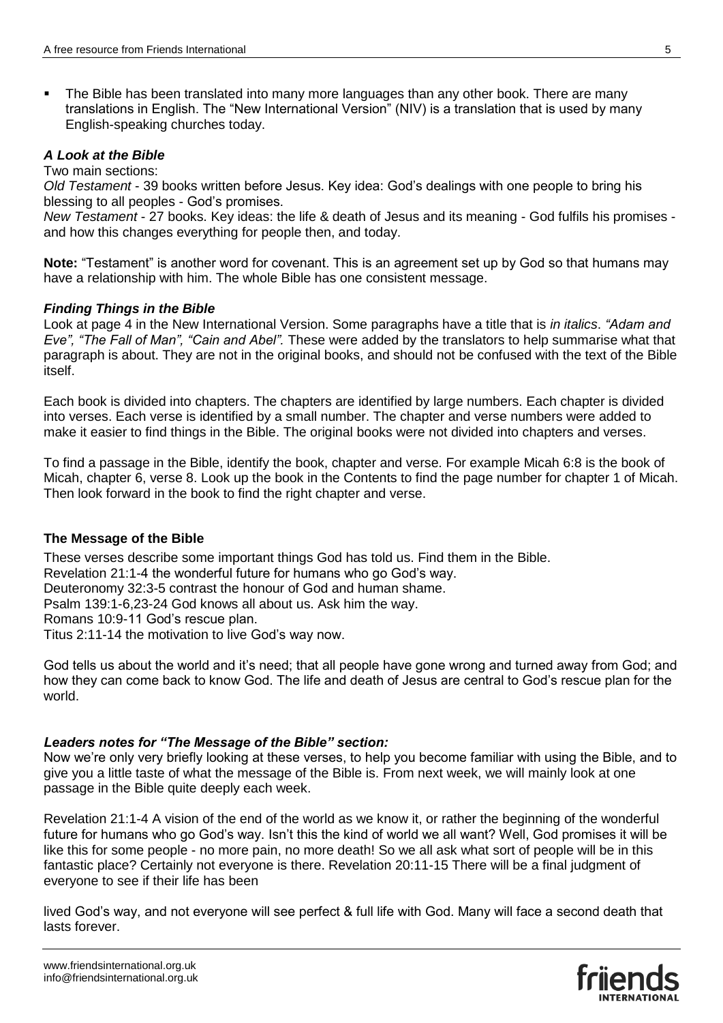The Bible has been translated into many more languages than any other book. There are many translations in English. The "New International Version" (NIV) is a translation that is used by many English-speaking churches today.

## *A Look at the Bible*

#### Two main sections:

*Old Testament* - 39 books written before Jesus. Key idea: God's dealings with one people to bring his blessing to all peoples - God's promises.

*New Testament* - 27 books. Key ideas: the life & death of Jesus and its meaning - God fulfils his promises and how this changes everything for people then, and today.

**Note:** "Testament" is another word for covenant. This is an agreement set up by God so that humans may have a relationship with him. The whole Bible has one consistent message.

#### *Finding Things in the Bible*

Look at page 4 in the New International Version. Some paragraphs have a title that is *in italics*. *"Adam and Eve", "The Fall of Man", "Cain and Abel".* These were added by the translators to help summarise what that paragraph is about. They are not in the original books, and should not be confused with the text of the Bible itself.

Each book is divided into chapters. The chapters are identified by large numbers. Each chapter is divided into verses. Each verse is identified by a small number. The chapter and verse numbers were added to make it easier to find things in the Bible. The original books were not divided into chapters and verses.

To find a passage in the Bible, identify the book, chapter and verse. For example Micah 6:8 is the book of Micah, chapter 6, verse 8. Look up the book in the Contents to find the page number for chapter 1 of Micah. Then look forward in the book to find the right chapter and verse.

## **The Message of the Bible**

These verses describe some important things God has told us. Find them in the Bible.

Revelation 21:1-4 the wonderful future for humans who go God's way.

Deuteronomy 32:3-5 contrast the honour of God and human shame.

Psalm 139:1-6,23-24 God knows all about us. Ask him the way.

Romans 10:9-11 God's rescue plan.

Titus 2:11-14 the motivation to live God's way now.

God tells us about the world and it's need; that all people have gone wrong and turned away from God; and how they can come back to know God. The life and death of Jesus are central to God's rescue plan for the world.

## *Leaders notes for "The Message of the Bible" section:*

Now we're only very briefly looking at these verses, to help you become familiar with using the Bible, and to give you a little taste of what the message of the Bible is. From next week, we will mainly look at one passage in the Bible quite deeply each week.

Revelation 21:1-4 A vision of the end of the world as we know it, or rather the beginning of the wonderful future for humans who go God's way. Isn't this the kind of world we all want? Well, God promises it will be like this for some people - no more pain, no more death! So we all ask what sort of people will be in this fantastic place? Certainly not everyone is there. Revelation 20:11-15 There will be a final judgment of everyone to see if their life has been

lived God's way, and not everyone will see perfect & full life with God. Many will face a second death that lasts forever.

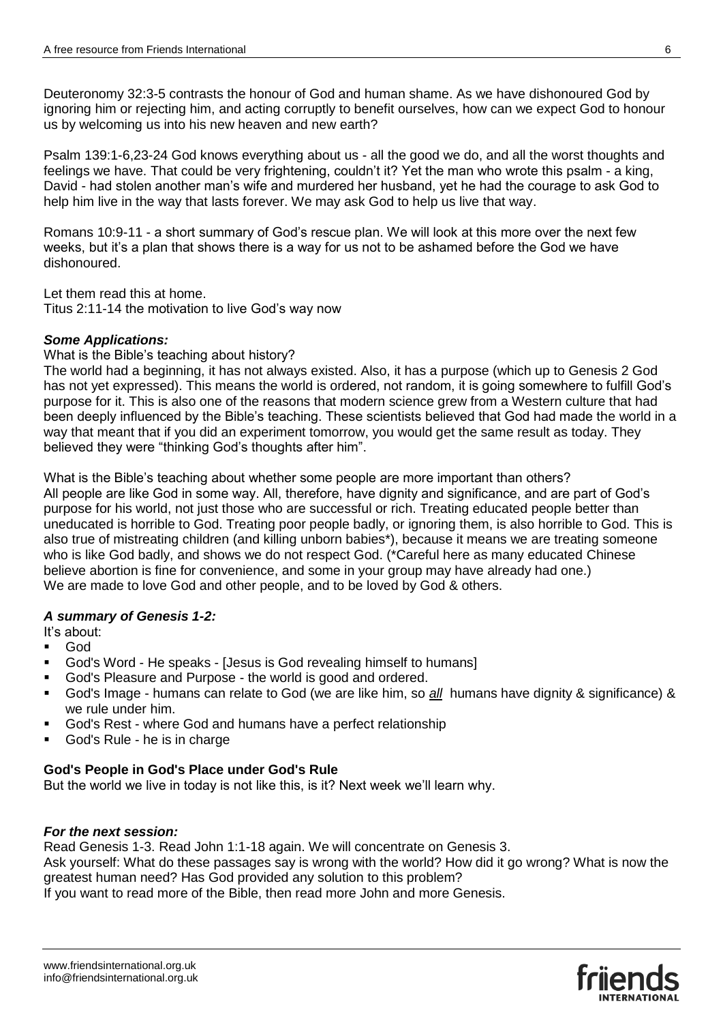Deuteronomy 32:3-5 contrasts the honour of God and human shame. As we have dishonoured God by ignoring him or rejecting him, and acting corruptly to benefit ourselves, how can we expect God to honour us by welcoming us into his new heaven and new earth?

Psalm 139:1-6,23-24 God knows everything about us - all the good we do, and all the worst thoughts and feelings we have. That could be very frightening, couldn't it? Yet the man who wrote this psalm - a king, David - had stolen another man's wife and murdered her husband, yet he had the courage to ask God to help him live in the way that lasts forever. We may ask God to help us live that way.

Romans 10:9-11 - a short summary of God's rescue plan. We will look at this more over the next few weeks, but it's a plan that shows there is a way for us not to be ashamed before the God we have dishonoured.

Let them read this at home.

Titus 2:11-14 the motivation to live God's way now

## *Some Applications:*

What is the Bible's teaching about history?

The world had a beginning, it has not always existed. Also, it has a purpose (which up to Genesis 2 God has not yet expressed). This means the world is ordered, not random, it is going somewhere to fulfill God's purpose for it. This is also one of the reasons that modern science grew from a Western culture that had been deeply influenced by the Bible's teaching. These scientists believed that God had made the world in a way that meant that if you did an experiment tomorrow, you would get the same result as today. They believed they were "thinking God's thoughts after him".

What is the Bible's teaching about whether some people are more important than others? All people are like God in some way. All, therefore, have dignity and significance, and are part of God's purpose for his world, not just those who are successful or rich. Treating educated people better than uneducated is horrible to God. Treating poor people badly, or ignoring them, is also horrible to God. This is also true of mistreating children (and killing unborn babies\*), because it means we are treating someone who is like God badly, and shows we do not respect God. (\*Careful here as many educated Chinese believe abortion is fine for convenience, and some in your group may have already had one.) We are made to love God and other people, and to be loved by God & others.

## *A summary of Genesis 1-2:*

It's about:

- God
- God's Word He speaks [Jesus is God revealing himself to humans]
- God's Pleasure and Purpose the world is good and ordered.
- God's Image humans can relate to God (we are like him, so *all* humans have dignity & significance) & we rule under him.
- God's Rest where God and humans have a perfect relationship
- God's Rule he is in charge

## **God's People in God's Place under God's Rule**

But the world we live in today is not like this, is it? Next week we'll learn why.

## *For the next session:*

Read Genesis 1-3. Read John 1:1-18 again. We will concentrate on Genesis 3.

Ask yourself: What do these passages say is wrong with the world? How did it go wrong? What is now the greatest human need? Has God provided any solution to this problem?

If you want to read more of the Bible, then read more John and more Genesis.

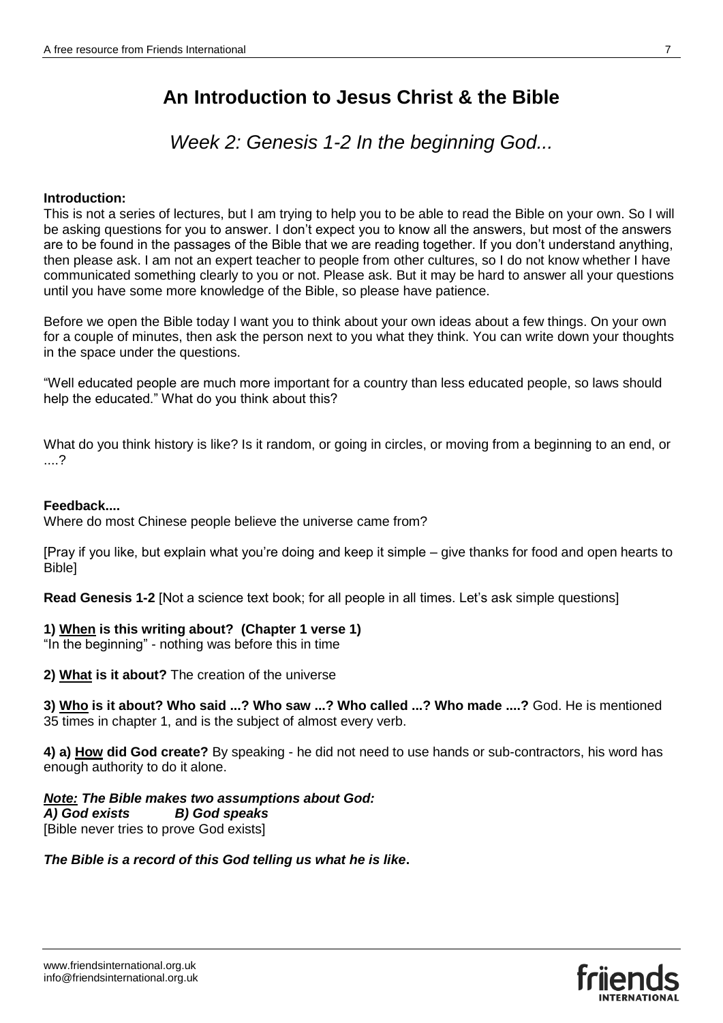*Week 2: Genesis 1-2 In the beginning God...*

#### **Introduction:**

This is not a series of lectures, but I am trying to help you to be able to read the Bible on your own. So I will be asking questions for you to answer. I don't expect you to know all the answers, but most of the answers are to be found in the passages of the Bible that we are reading together. If you don't understand anything, then please ask. I am not an expert teacher to people from other cultures, so I do not know whether I have communicated something clearly to you or not. Please ask. But it may be hard to answer all your questions until you have some more knowledge of the Bible, so please have patience.

Before we open the Bible today I want you to think about your own ideas about a few things. On your own for a couple of minutes, then ask the person next to you what they think. You can write down your thoughts in the space under the questions.

"Well educated people are much more important for a country than less educated people, so laws should help the educated." What do you think about this?

What do you think history is like? Is it random, or going in circles, or moving from a beginning to an end, or ....?

## **Feedback....**

Where do most Chinese people believe the universe came from?

[Pray if you like, but explain what you're doing and keep it simple – give thanks for food and open hearts to Bible]

**Read Genesis 1-2** [Not a science text book; for all people in all times. Let's ask simple questions]

## **1) When is this writing about? (Chapter 1 verse 1)**

"In the beginning" - nothing was before this in time

**2) What is it about?** The creation of the universe

**3) Who is it about? Who said ...? Who saw ...? Who called ...? Who made ....?** God. He is mentioned 35 times in chapter 1, and is the subject of almost every verb.

**4) a) How did God create?** By speaking - he did not need to use hands or sub-contractors, his word has enough authority to do it alone.

*Note: The Bible makes two assumptions about God: A) God exists B) God speaks* [Bible never tries to prove God exists]

## *The Bible is a record of this God telling us what he is like***.**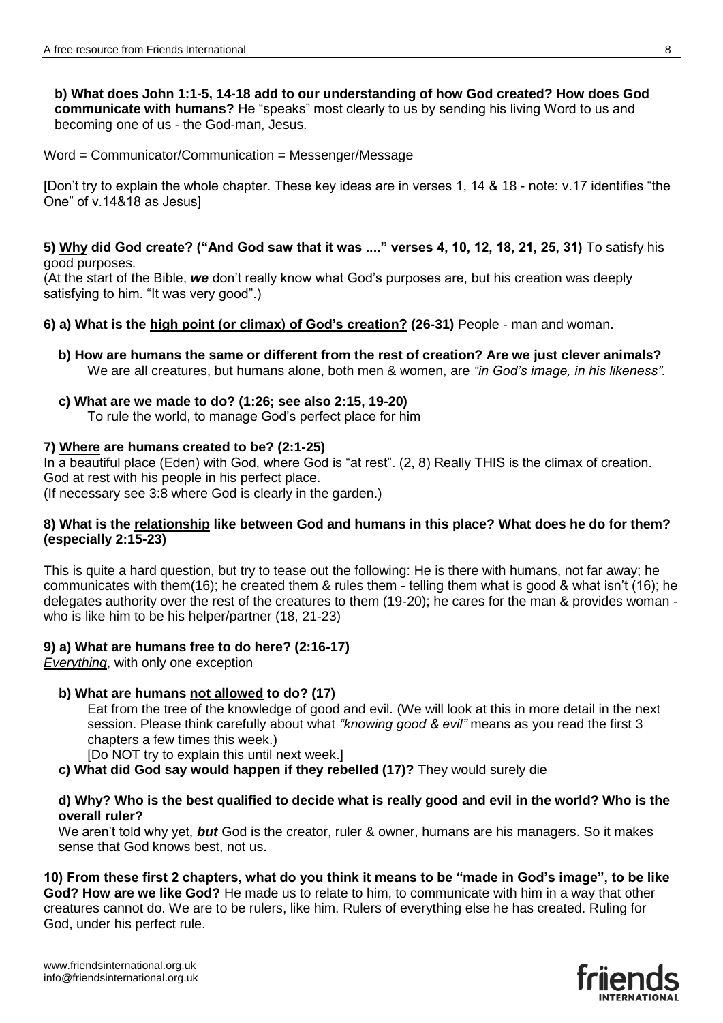**b) What does John 1:1-5, 14-18 add to our understanding of how God created? How does God communicate with humans?** He "speaks" most clearly to us by sending his living Word to us and becoming one of us - the God-man, Jesus.

Word = Communicator/Communication = Messenger/Message

[Don't try to explain the whole chapter. These key ideas are in verses 1, 14 & 18 - note: v.17 identifies "the One" of v.14&18 as Jesus]

#### **5) Why did God create? ("And God saw that it was ...." verses 4, 10, 12, 18, 21, 25, 31)** To satisfy his good purposes.

(At the start of the Bible, *we* don't really know what God's purposes are, but his creation was deeply satisfying to him. "It was very good".)

- **6) a) What is the high point (or climax) of God's creation? (26-31)** People man and woman.
	- **b) How are humans the same or different from the rest of creation? Are we just clever animals?**  We are all creatures, but humans alone, both men & women, are *"in God's image, in his likeness".*
	- **c) What are we made to do? (1:26; see also 2:15, 19-20)**  To rule the world, to manage God's perfect place for him

## **7) Where are humans created to be? (2:1-25)**

In a beautiful place (Eden) with God, where God is "at rest". (2, 8) Really THIS is the climax of creation. God at rest with his people in his perfect place. (If necessary see 3:8 where God is clearly in the garden.)

#### **8) What is the relationship like between God and humans in this place? What does he do for them? (especially 2:15-23)**

This is quite a hard question, but try to tease out the following: He is there with humans, not far away; he communicates with them(16); he created them & rules them - telling them what is good & what isn't (16); he delegates authority over the rest of the creatures to them (19-20); he cares for the man & provides woman who is like him to be his helper/partner (18, 21-23)

## **9) a) What are humans free to do here? (2:16-17)**

*Everything*, with only one exception

## **b) What are humans not allowed to do? (17)**

Eat from the tree of the knowledge of good and evil. (We will look at this in more detail in the next session. Please think carefully about what *"knowing good & evil"* means as you read the first 3 chapters a few times this week.)

[Do NOT try to explain this until next week.]

 **c) What did God say would happen if they rebelled (17)?** They would surely die

## **d) Why? Who is the best qualified to decide what is really good and evil in the world? Who is the overall ruler?**

We aren't told why yet, *but* God is the creator, ruler & owner, humans are his managers. So it makes sense that God knows best, not us.

#### **10) From these first 2 chapters, what do you think it means to be "made in God's image", to be like God? How are we like God?** He made us to relate to him, to communicate with him in a way that other creatures cannot do. We are to be rulers, like him. Rulers of everything else he has created. Ruling for God, under his perfect rule.

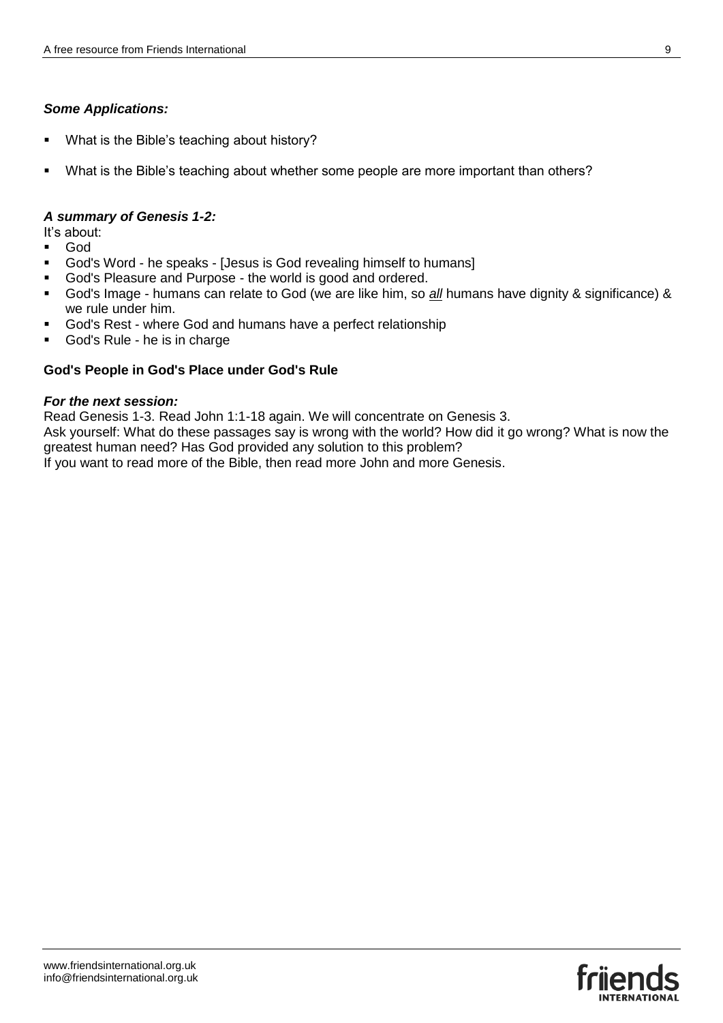## *Some Applications:*

- What is the Bible's teaching about history?
- What is the Bible's teaching about whether some people are more important than others?

## *A summary of Genesis 1-2:*

It's about:

- God
- God's Word he speaks [Jesus is God revealing himself to humans]
- God's Pleasure and Purpose the world is good and ordered.
- God's Image humans can relate to God (we are like him, so *all* humans have dignity & significance) & we rule under him.
- God's Rest where God and humans have a perfect relationship
- God's Rule he is in charge

## **God's People in God's Place under God's Rule**

#### *For the next session:*

Read Genesis 1-3. Read John 1:1-18 again. We will concentrate on Genesis 3.

Ask yourself: What do these passages say is wrong with the world? How did it go wrong? What is now the greatest human need? Has God provided any solution to this problem?

If you want to read more of the Bible, then read more John and more Genesis.

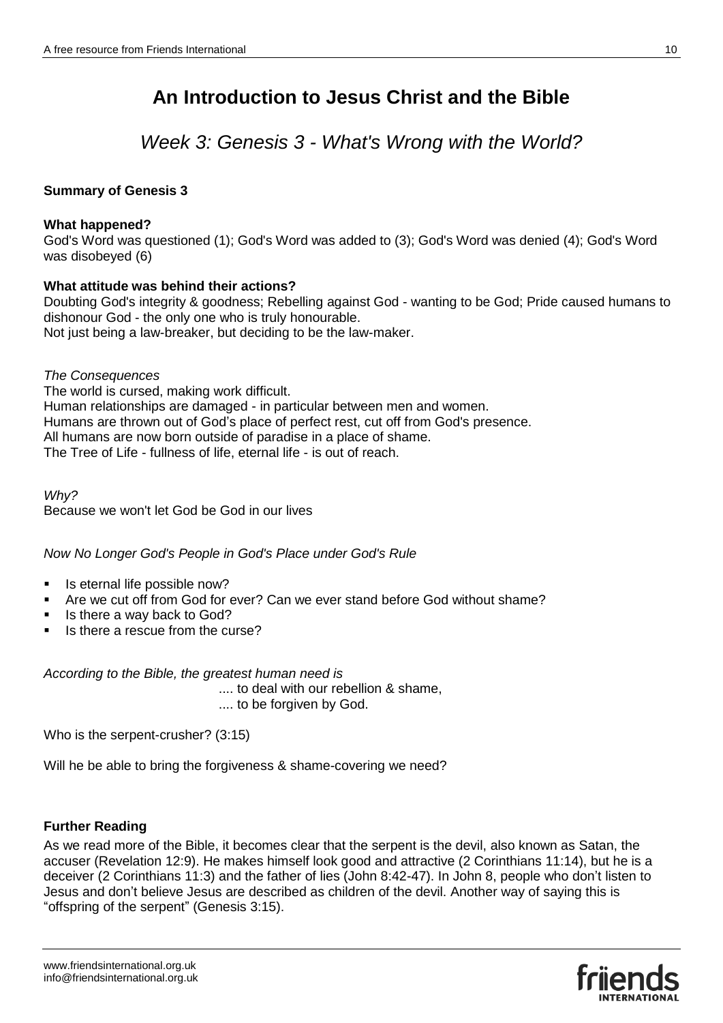*Week 3: Genesis 3 - What's Wrong with the World?*

## **Summary of Genesis 3**

## **What happened?**

God's Word was questioned (1); God's Word was added to (3); God's Word was denied (4); God's Word was disobeyed (6)

## **What attitude was behind their actions?**

Doubting God's integrity & goodness; Rebelling against God - wanting to be God; Pride caused humans to dishonour God - the only one who is truly honourable. Not just being a law-breaker, but deciding to be the law-maker.

*The Consequences* The world is cursed, making work difficult. Human relationships are damaged - in particular between men and women. Humans are thrown out of God's place of perfect rest, cut off from God's presence. All humans are now born outside of paradise in a place of shame. The Tree of Life - fullness of life, eternal life - is out of reach.

*Why?*  Because we won't let God be God in our lives

*Now No Longer God's People in God's Place under God's Rule*

- Is eternal life possible now?
- Are we cut off from God for ever? Can we ever stand before God without shame?
- Is there a way back to God?
- Is there a rescue from the curse?

*According to the Bible, the greatest human need is* 

.... to deal with our rebellion & shame, .... to be forgiven by God.

Who is the serpent-crusher? (3:15)

Will he be able to bring the forgiveness & shame-covering we need?

## **Further Reading**

As we read more of the Bible, it becomes clear that the serpent is the devil, also known as Satan, the accuser (Revelation 12:9). He makes himself look good and attractive (2 Corinthians 11:14), but he is a deceiver (2 Corinthians 11:3) and the father of lies (John 8:42-47). In John 8, people who don't listen to Jesus and don't believe Jesus are described as children of the devil. Another way of saying this is "offspring of the serpent" (Genesis 3:15).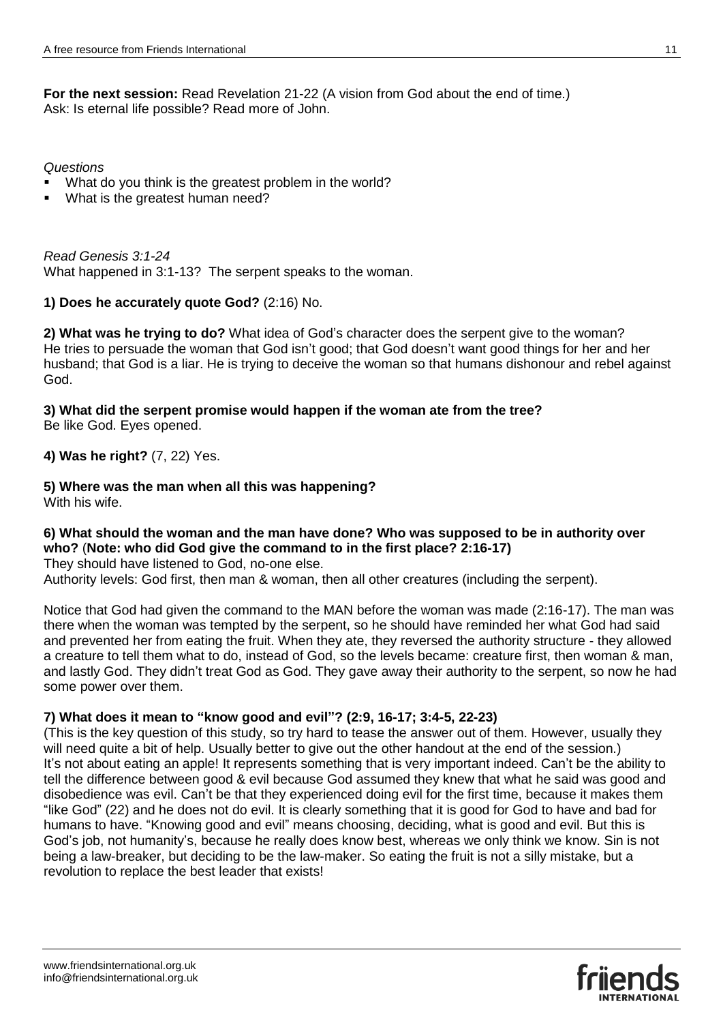**For the next session:** Read Revelation 21-22 (A vision from God about the end of time.) Ask: Is eternal life possible? Read more of John.

*Questions* 

- What do you think is the greatest problem in the world?
- What is the greatest human need?

*Read Genesis 3:1-24* What happened in 3:1-13? The serpent speaks to the woman.

## **1) Does he accurately quote God?** (2:16) No.

**2) What was he trying to do?** What idea of God's character does the serpent give to the woman? He tries to persuade the woman that God isn't good; that God doesn't want good things for her and her husband; that God is a liar. He is trying to deceive the woman so that humans dishonour and rebel against God.

**3) What did the serpent promise would happen if the woman ate from the tree?** Be like God. Eyes opened.

**4) Was he right?** (7, 22) Yes.

**5) Where was the man when all this was happening?**

With his wife.

## **6) What should the woman and the man have done? Who was supposed to be in authority over who?** (**Note: who did God give the command to in the first place? 2:16-17)**

They should have listened to God, no-one else.

Authority levels: God first, then man & woman, then all other creatures (including the serpent).

Notice that God had given the command to the MAN before the woman was made (2:16-17). The man was there when the woman was tempted by the serpent, so he should have reminded her what God had said and prevented her from eating the fruit. When they ate, they reversed the authority structure - they allowed a creature to tell them what to do, instead of God, so the levels became: creature first, then woman & man, and lastly God. They didn't treat God as God. They gave away their authority to the serpent, so now he had some power over them.

## **7) What does it mean to "know good and evil"? (2:9, 16-17; 3:4-5, 22-23)**

(This is the key question of this study, so try hard to tease the answer out of them. However, usually they will need quite a bit of help. Usually better to give out the other handout at the end of the session.) It's not about eating an apple! It represents something that is very important indeed. Can't be the ability to tell the difference between good & evil because God assumed they knew that what he said was good and disobedience was evil. Can't be that they experienced doing evil for the first time, because it makes them "like God" (22) and he does not do evil. It is clearly something that it is good for God to have and bad for humans to have. "Knowing good and evil" means choosing, deciding, what is good and evil. But this is God's job, not humanity's, because he really does know best, whereas we only think we know. Sin is not being a law-breaker, but deciding to be the law-maker. So eating the fruit is not a silly mistake, but a revolution to replace the best leader that exists!

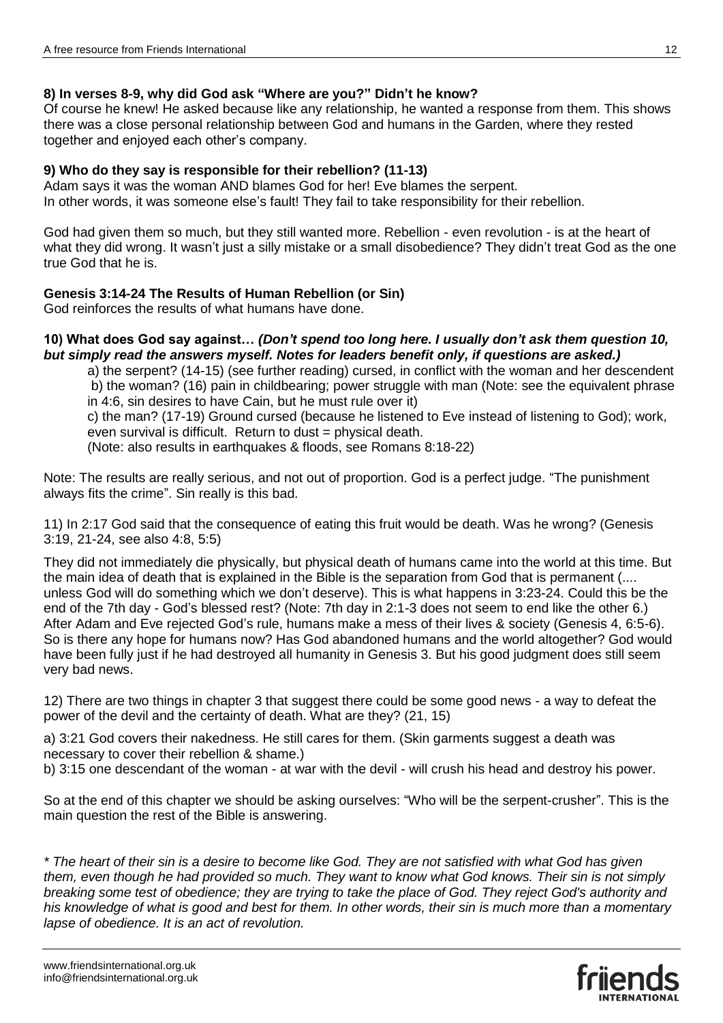## **8) In verses 8-9, why did God ask "Where are you?" Didn't he know?**

Of course he knew! He asked because like any relationship, he wanted a response from them. This shows there was a close personal relationship between God and humans in the Garden, where they rested together and enjoyed each other's company.

## **9) Who do they say is responsible for their rebellion? (11-13)**

Adam says it was the woman AND blames God for her! Eve blames the serpent. In other words, it was someone else's fault! They fail to take responsibility for their rebellion.

God had given them so much, but they still wanted more. Rebellion - even revolution - is at the heart of what they did wrong. It wasn't just a silly mistake or a small disobedience? They didn't treat God as the one true God that he is.

## **Genesis 3:14-24 The Results of Human Rebellion (or Sin)**

God reinforces the results of what humans have done.

#### **10) What does God say against…** *(Don't spend too long here. I usually don't ask them question 10, but simply read the answers myself. Notes for leaders benefit only, if questions are asked.)*

a) the serpent? (14-15) (see further reading) cursed, in conflict with the woman and her descendent b) the woman? (16) pain in childbearing; power struggle with man (Note: see the equivalent phrase in 4:6, sin desires to have Cain, but he must rule over it) c) the man? (17-19) Ground cursed (because he listened to Eve instead of listening to God); work, even survival is difficult. Return to dust = physical death.

(Note: also results in earthquakes & floods, see Romans 8:18-22)

Note: The results are really serious, and not out of proportion. God is a perfect judge. "The punishment always fits the crime". Sin really is this bad.

11) In 2:17 God said that the consequence of eating this fruit would be death. Was he wrong? (Genesis 3:19, 21-24, see also 4:8, 5:5)

They did not immediately die physically, but physical death of humans came into the world at this time. But the main idea of death that is explained in the Bible is the separation from God that is permanent (.... unless God will do something which we don't deserve). This is what happens in 3:23-24. Could this be the end of the 7th day - God's blessed rest? (Note: 7th day in 2:1-3 does not seem to end like the other 6.) After Adam and Eve rejected God's rule, humans make a mess of their lives & society (Genesis 4, 6:5-6). So is there any hope for humans now? Has God abandoned humans and the world altogether? God would have been fully just if he had destroyed all humanity in Genesis 3. But his good judgment does still seem very bad news.

12) There are two things in chapter 3 that suggest there could be some good news - a way to defeat the power of the devil and the certainty of death. What are they? (21, 15)

a) 3:21 God covers their nakedness. He still cares for them. (Skin garments suggest a death was necessary to cover their rebellion & shame.)

b) 3:15 one descendant of the woman - at war with the devil - will crush his head and destroy his power.

So at the end of this chapter we should be asking ourselves: "Who will be the serpent-crusher". This is the main question the rest of the Bible is answering.

*\* The heart of their sin is a desire to become like God. They are not satisfied with what God has given them, even though he had provided so much. They want to know what God knows. Their sin is not simply breaking some test of obedience; they are trying to take the place of God. They reject God's authority and his knowledge of what is good and best for them. In other words, their sin is much more than a momentary lapse of obedience. It is an act of revolution.*

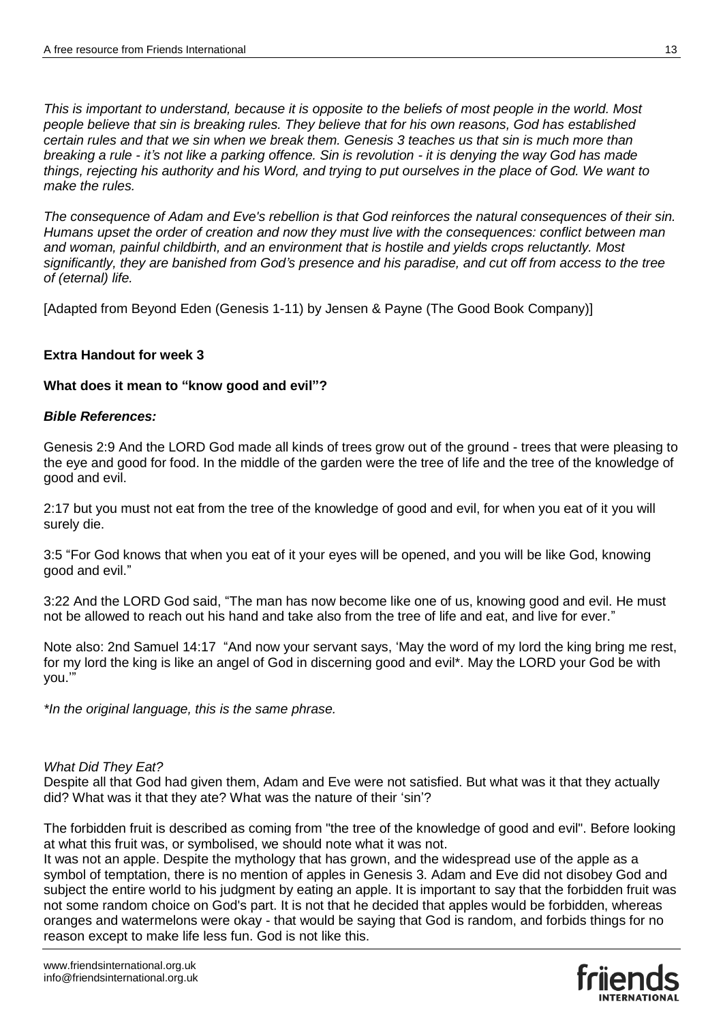*This is important to understand, because it is opposite to the beliefs of most people in the world. Most people believe that sin is breaking rules. They believe that for his own reasons, God has established certain rules and that we sin when we break them. Genesis 3 teaches us that sin is much more than breaking a rule - it's not like a parking offence. Sin is revolution - it is denying the way God has made things, rejecting his authority and his Word, and trying to put ourselves in the place of God. We want to make the rules.*

*The consequence of Adam and Eve's rebellion is that God reinforces the natural consequences of their sin. Humans upset the order of creation and now they must live with the consequences: conflict between man and woman, painful childbirth, and an environment that is hostile and yields crops reluctantly. Most significantly, they are banished from God's presence and his paradise, and cut off from access to the tree of (eternal) life.*

[Adapted from Beyond Eden (Genesis 1-11) by Jensen & Payne (The Good Book Company)]

## **Extra Handout for week 3**

## **What does it mean to "know good and evil"?**

## *Bible References:*

Genesis 2:9 And the LORD God made all kinds of trees grow out of the ground - trees that were pleasing to the eye and good for food. In the middle of the garden were the tree of life and the tree of the knowledge of good and evil.

2:17 but you must not eat from the tree of the knowledge of good and evil, for when you eat of it you will surely die.

3:5 "For God knows that when you eat of it your eyes will be opened, and you will be like God, knowing good and evil."

3:22 And the LORD God said, "The man has now become like one of us, knowing good and evil. He must not be allowed to reach out his hand and take also from the tree of life and eat, and live for ever."

Note also: 2nd Samuel 14:17 "And now your servant says, 'May the word of my lord the king bring me rest, for my lord the king is like an angel of God in discerning good and evil\*. May the LORD your God be with you.'"

*\*In the original language, this is the same phrase.*

#### *What Did They Eat?*

Despite all that God had given them, Adam and Eve were not satisfied. But what was it that they actually did? What was it that they ate? What was the nature of their 'sin'?

The forbidden fruit is described as coming from "the tree of the knowledge of good and evil". Before looking at what this fruit was, or symbolised, we should note what it was not.

It was not an apple. Despite the mythology that has grown, and the widespread use of the apple as a symbol of temptation, there is no mention of apples in Genesis 3. Adam and Eve did not disobey God and subject the entire world to his judgment by eating an apple. It is important to say that the forbidden fruit was not some random choice on God's part. It is not that he decided that apples would be forbidden, whereas oranges and watermelons were okay - that would be saying that God is random, and forbids things for no reason except to make life less fun. God is not like this.

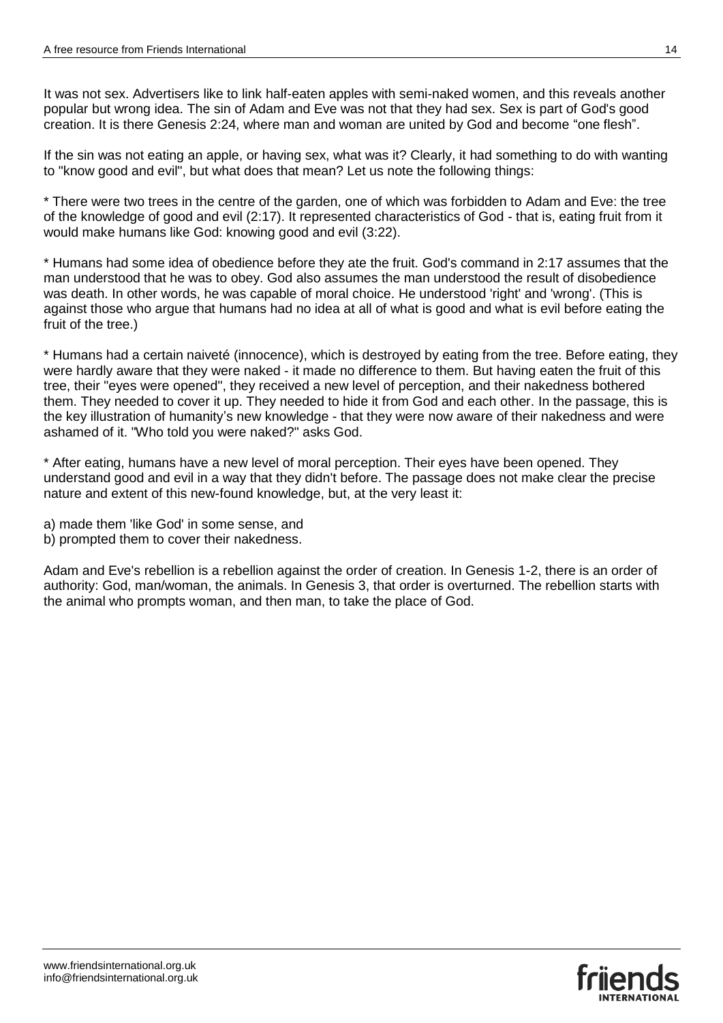It was not sex. Advertisers like to link half-eaten apples with semi-naked women, and this reveals another popular but wrong idea. The sin of Adam and Eve was not that they had sex. Sex is part of God's good creation. It is there Genesis 2:24, where man and woman are united by God and become "one flesh".

If the sin was not eating an apple, or having sex, what was it? Clearly, it had something to do with wanting to "know good and evil", but what does that mean? Let us note the following things:

\* There were two trees in the centre of the garden, one of which was forbidden to Adam and Eve: the tree of the knowledge of good and evil (2:17). It represented characteristics of God - that is, eating fruit from it would make humans like God: knowing good and evil (3:22).

\* Humans had some idea of obedience before they ate the fruit. God's command in 2:17 assumes that the man understood that he was to obey. God also assumes the man understood the result of disobedience was death. In other words, he was capable of moral choice. He understood 'right' and 'wrong'. (This is against those who argue that humans had no idea at all of what is good and what is evil before eating the fruit of the tree.)

\* Humans had a certain naiveté (innocence), which is destroyed by eating from the tree. Before eating, they were hardly aware that they were naked - it made no difference to them. But having eaten the fruit of this tree, their "eyes were opened", they received a new level of perception, and their nakedness bothered them. They needed to cover it up. They needed to hide it from God and each other. In the passage, this is the key illustration of humanity's new knowledge - that they were now aware of their nakedness and were ashamed of it. "Who told you were naked?" asks God.

\* After eating, humans have a new level of moral perception. Their eyes have been opened. They understand good and evil in a way that they didn't before. The passage does not make clear the precise nature and extent of this new-found knowledge, but, at the very least it:

a) made them 'like God' in some sense, and

b) prompted them to cover their nakedness.

Adam and Eve's rebellion is a rebellion against the order of creation. In Genesis 1-2, there is an order of authority: God, man/woman, the animals. In Genesis 3, that order is overturned. The rebellion starts with the animal who prompts woman, and then man, to take the place of God.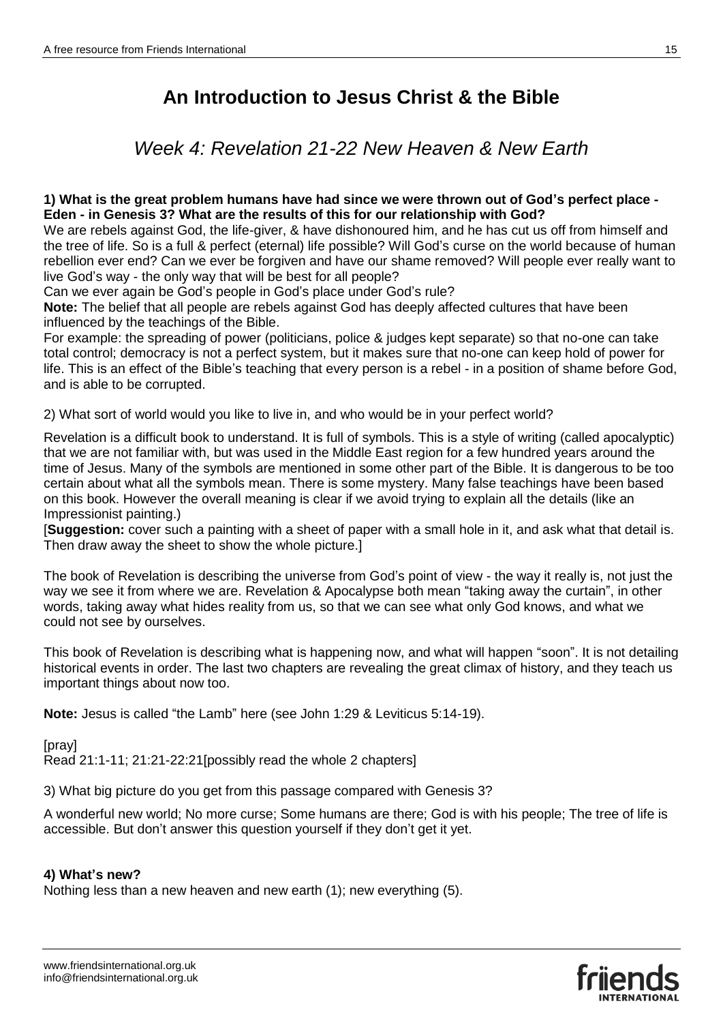*Week 4: Revelation 21-22 New Heaven & New Earth*

## **1) What is the great problem humans have had since we were thrown out of God's perfect place - Eden - in Genesis 3? What are the results of this for our relationship with God?**

We are rebels against God, the life-giver, & have dishonoured him, and he has cut us off from himself and the tree of life. So is a full & perfect (eternal) life possible? Will God's curse on the world because of human rebellion ever end? Can we ever be forgiven and have our shame removed? Will people ever really want to live God's way - the only way that will be best for all people?

Can we ever again be God's people in God's place under God's rule?

**Note:** The belief that all people are rebels against God has deeply affected cultures that have been influenced by the teachings of the Bible.

For example: the spreading of power (politicians, police & judges kept separate) so that no-one can take total control; democracy is not a perfect system, but it makes sure that no-one can keep hold of power for life. This is an effect of the Bible's teaching that every person is a rebel - in a position of shame before God, and is able to be corrupted.

2) What sort of world would you like to live in, and who would be in your perfect world?

Revelation is a difficult book to understand. It is full of symbols. This is a style of writing (called apocalyptic) that we are not familiar with, but was used in the Middle East region for a few hundred years around the time of Jesus. Many of the symbols are mentioned in some other part of the Bible. It is dangerous to be too certain about what all the symbols mean. There is some mystery. Many false teachings have been based on this book. However the overall meaning is clear if we avoid trying to explain all the details (like an Impressionist painting.)

[**Suggestion:** cover such a painting with a sheet of paper with a small hole in it, and ask what that detail is. Then draw away the sheet to show the whole picture.]

The book of Revelation is describing the universe from God's point of view - the way it really is, not just the way we see it from where we are. Revelation & Apocalypse both mean "taking away the curtain", in other words, taking away what hides reality from us, so that we can see what only God knows, and what we could not see by ourselves.

This book of Revelation is describing what is happening now, and what will happen "soon". It is not detailing historical events in order. The last two chapters are revealing the great climax of history, and they teach us important things about now too.

**Note:** Jesus is called "the Lamb" here (see John 1:29 & Leviticus 5:14-19).

[pray] Read 21:1-11; 21:21-22:21[possibly read the whole 2 chapters]

3) What big picture do you get from this passage compared with Genesis 3?

A wonderful new world; No more curse; Some humans are there; God is with his people; The tree of life is accessible. But don't answer this question yourself if they don't get it yet.

## **4) What's new?**

Nothing less than a new heaven and new earth (1); new everything (5).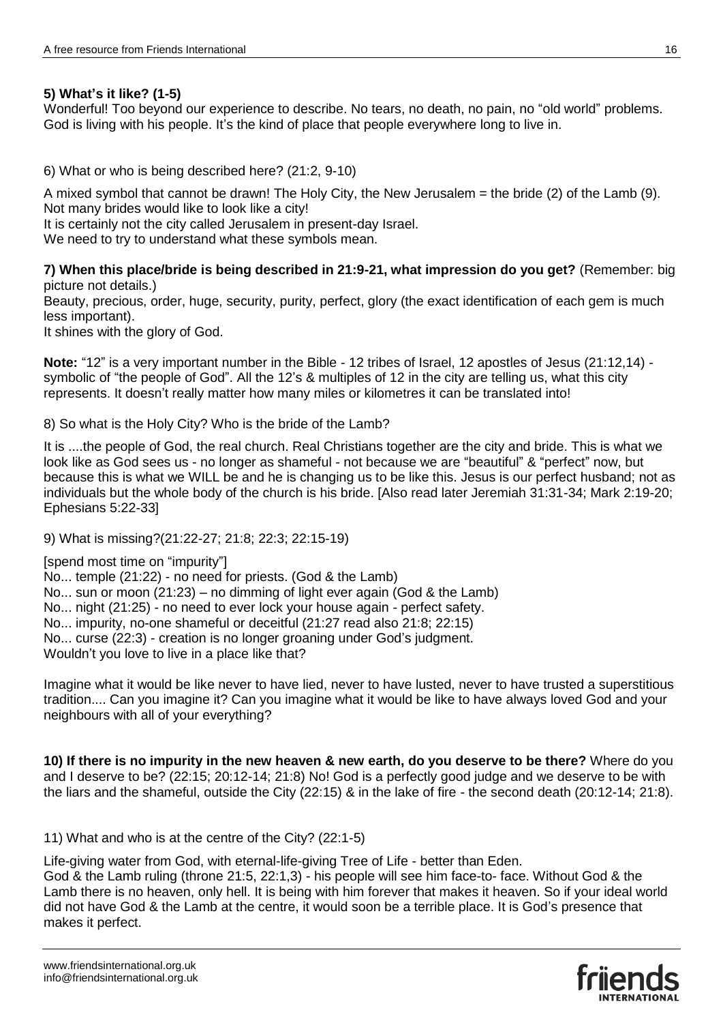## **5) What's it like? (1-5)**

Wonderful! Too beyond our experience to describe. No tears, no death, no pain, no "old world" problems. God is living with his people. It's the kind of place that people everywhere long to live in.

6) What or who is being described here? (21:2, 9-10)

A mixed symbol that cannot be drawn! The Holy City, the New Jerusalem = the bride (2) of the Lamb (9). Not many brides would like to look like a city!

It is certainly not the city called Jerusalem in present-day Israel.

We need to try to understand what these symbols mean.

**7) When this place/bride is being described in 21:9-21, what impression do you get?** (Remember: big picture not details.)

Beauty, precious, order, huge, security, purity, perfect, glory (the exact identification of each gem is much less important).

It shines with the glory of God.

**Note:** "12" is a very important number in the Bible - 12 tribes of Israel, 12 apostles of Jesus (21:12,14) symbolic of "the people of God". All the 12's & multiples of 12 in the city are telling us, what this city represents. It doesn't really matter how many miles or kilometres it can be translated into!

8) So what is the Holy City? Who is the bride of the Lamb?

It is ....the people of God, the real church. Real Christians together are the city and bride. This is what we look like as God sees us - no longer as shameful - not because we are "beautiful" & "perfect" now, but because this is what we WILL be and he is changing us to be like this. Jesus is our perfect husband; not as individuals but the whole body of the church is his bride. [Also read later Jeremiah 31:31-34; Mark 2:19-20; Ephesians 5:22-33]

9) What is missing?(21:22-27; 21:8; 22:3; 22:15-19)

[spend most time on "impurity"] No... temple (21:22) - no need for priests. (God & the Lamb) No... sun or moon (21:23) – no dimming of light ever again (God & the Lamb) No... night (21:25) - no need to ever lock your house again - perfect safety. No... impurity, no-one shameful or deceitful (21:27 read also 21:8; 22:15) No... curse (22:3) - creation is no longer groaning under God's judgment. Wouldn't you love to live in a place like that?

Imagine what it would be like never to have lied, never to have lusted, never to have trusted a superstitious tradition.... Can you imagine it? Can you imagine what it would be like to have always loved God and your neighbours with all of your everything?

**10) If there is no impurity in the new heaven & new earth, do you deserve to be there?** Where do you and I deserve to be? (22:15; 20:12-14; 21:8) No! God is a perfectly good judge and we deserve to be with the liars and the shameful, outside the City (22:15) & in the lake of fire - the second death (20:12-14; 21:8).

11) What and who is at the centre of the City? (22:1-5)

Life-giving water from God, with eternal-life-giving Tree of Life - better than Eden.

God & the Lamb ruling (throne 21:5, 22:1,3) - his people will see him face-to- face. Without God & the Lamb there is no heaven, only hell. It is being with him forever that makes it heaven. So if your ideal world did not have God & the Lamb at the centre, it would soon be a terrible place. It is God's presence that makes it perfect.

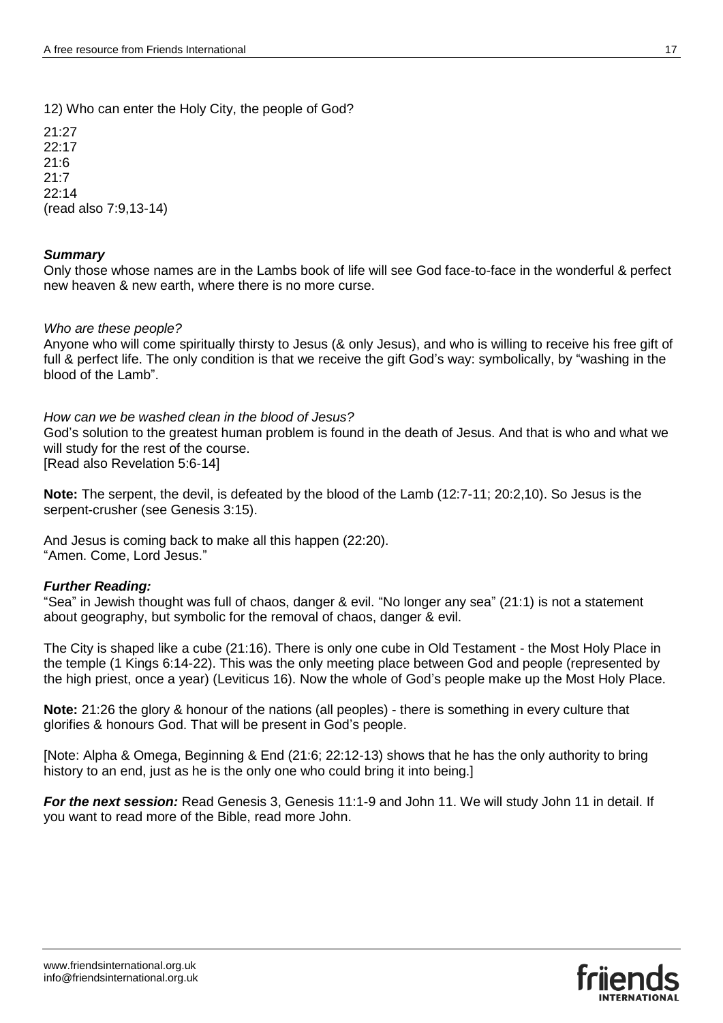12) Who can enter the Holy City, the people of God?

21:27  $22.17$ 21:6 21:7 22:14 (read also 7:9,13-14)

## *Summary*

Only those whose names are in the Lambs book of life will see God face-to-face in the wonderful & perfect new heaven & new earth, where there is no more curse.

## *Who are these people?*

Anyone who will come spiritually thirsty to Jesus (& only Jesus), and who is willing to receive his free gift of full & perfect life. The only condition is that we receive the gift God's way: symbolically, by "washing in the blood of the Lamb".

*How can we be washed clean in the blood of Jesus?*

God's solution to the greatest human problem is found in the death of Jesus. And that is who and what we will study for the rest of the course.

[Read also Revelation 5:6-14]

**Note:** The serpent, the devil, is defeated by the blood of the Lamb (12:7-11; 20:2,10). So Jesus is the serpent-crusher (see Genesis 3:15).

And Jesus is coming back to make all this happen (22:20). "Amen. Come, Lord Jesus."

## *Further Reading:*

"Sea" in Jewish thought was full of chaos, danger & evil. "No longer any sea" (21:1) is not a statement about geography, but symbolic for the removal of chaos, danger & evil.

The City is shaped like a cube (21:16). There is only one cube in Old Testament - the Most Holy Place in the temple (1 Kings 6:14-22). This was the only meeting place between God and people (represented by the high priest, once a year) (Leviticus 16). Now the whole of God's people make up the Most Holy Place.

**Note:** 21:26 the glory & honour of the nations (all peoples) - there is something in every culture that glorifies & honours God. That will be present in God's people.

[Note: Alpha & Omega, Beginning & End (21:6; 22:12-13) shows that he has the only authority to bring history to an end, just as he is the only one who could bring it into being.]

*For the next session:* Read Genesis 3, Genesis 11:1-9 and John 11. We will study John 11 in detail. If you want to read more of the Bible, read more John.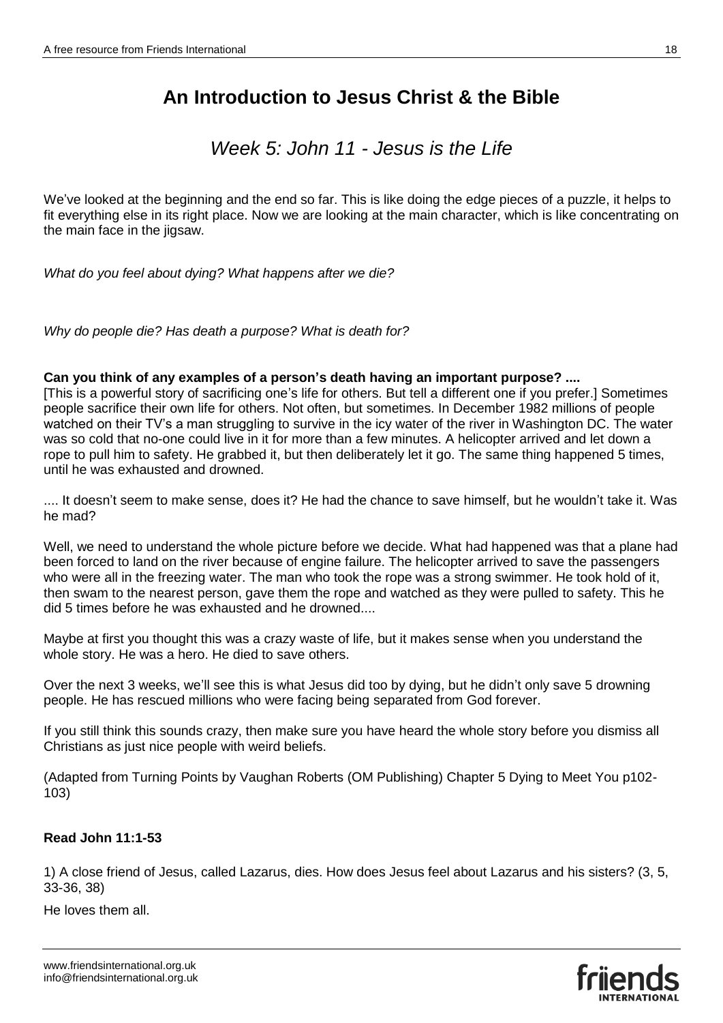## *Week 5: John 11 - Jesus is the Life*

We've looked at the beginning and the end so far. This is like doing the edge pieces of a puzzle, it helps to fit everything else in its right place. Now we are looking at the main character, which is like concentrating on the main face in the jigsaw.

*What do you feel about dying? What happens after we die?*

*Why do people die? Has death a purpose? What is death for?*

## **Can you think of any examples of a person's death having an important purpose? ....**

[This is a powerful story of sacrificing one's life for others. But tell a different one if you prefer.] Sometimes people sacrifice their own life for others. Not often, but sometimes. In December 1982 millions of people watched on their TV's a man struggling to survive in the icy water of the river in Washington DC. The water was so cold that no-one could live in it for more than a few minutes. A helicopter arrived and let down a rope to pull him to safety. He grabbed it, but then deliberately let it go. The same thing happened 5 times, until he was exhausted and drowned.

.... It doesn't seem to make sense, does it? He had the chance to save himself, but he wouldn't take it. Was he mad?

Well, we need to understand the whole picture before we decide. What had happened was that a plane had been forced to land on the river because of engine failure. The helicopter arrived to save the passengers who were all in the freezing water. The man who took the rope was a strong swimmer. He took hold of it, then swam to the nearest person, gave them the rope and watched as they were pulled to safety. This he did 5 times before he was exhausted and he drowned....

Maybe at first you thought this was a crazy waste of life, but it makes sense when you understand the whole story. He was a hero. He died to save others.

Over the next 3 weeks, we'll see this is what Jesus did too by dying, but he didn't only save 5 drowning people. He has rescued millions who were facing being separated from God forever.

If you still think this sounds crazy, then make sure you have heard the whole story before you dismiss all Christians as just nice people with weird beliefs.

(Adapted from Turning Points by Vaughan Roberts (OM Publishing) Chapter 5 Dying to Meet You p102- 103)

## **Read John 11:1-53**

1) A close friend of Jesus, called Lazarus, dies. How does Jesus feel about Lazarus and his sisters? (3, 5, 33-36, 38)

He loves them all.

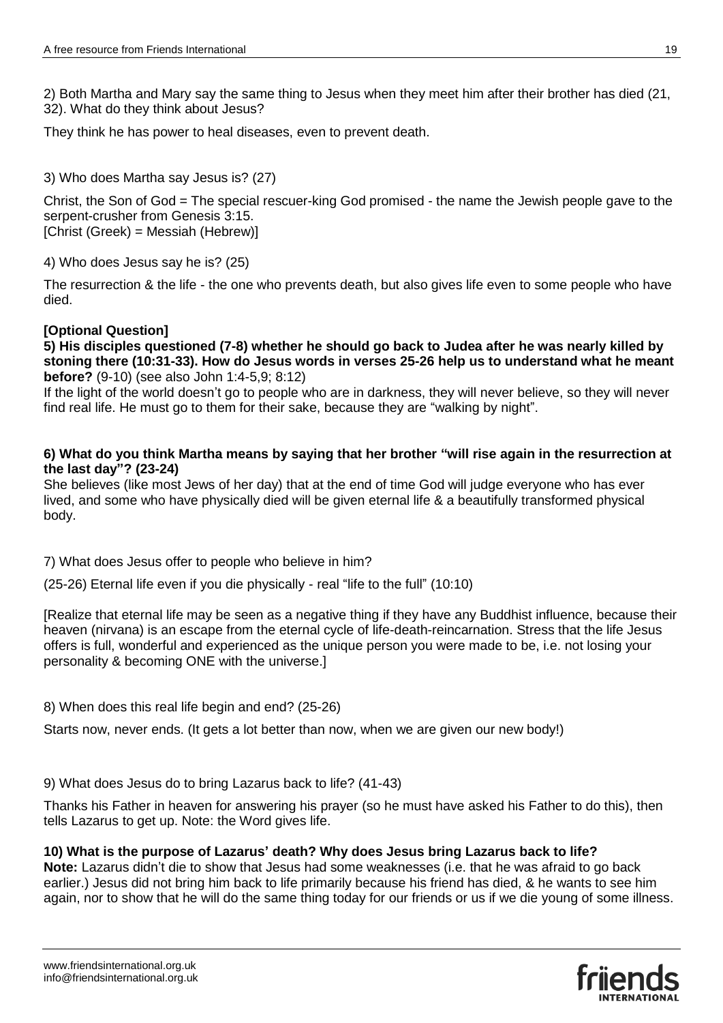2) Both Martha and Mary say the same thing to Jesus when they meet him after their brother has died (21, 32). What do they think about Jesus?

They think he has power to heal diseases, even to prevent death.

## 3) Who does Martha say Jesus is? (27)

Christ, the Son of God = The special rescuer-king God promised - the name the Jewish people gave to the serpent-crusher from Genesis 3:15. [Christ (Greek) = Messiah (Hebrew)]

4) Who does Jesus say he is? (25)

The resurrection & the life - the one who prevents death, but also gives life even to some people who have died.

## **[Optional Question]**

**5) His disciples questioned (7-8) whether he should go back to Judea after he was nearly killed by stoning there (10:31-33). How do Jesus words in verses 25-26 help us to understand what he meant before?** (9-10) (see also John 1:4-5,9; 8:12)

If the light of the world doesn't go to people who are in darkness, they will never believe, so they will never find real life. He must go to them for their sake, because they are "walking by night".

## **6) What do you think Martha means by saying that her brother "will rise again in the resurrection at the last day"? (23-24)**

She believes (like most Jews of her day) that at the end of time God will judge everyone who has ever lived, and some who have physically died will be given eternal life & a beautifully transformed physical body.

7) What does Jesus offer to people who believe in him?

(25-26) Eternal life even if you die physically - real "life to the full" (10:10)

[Realize that eternal life may be seen as a negative thing if they have any Buddhist influence, because their heaven (nirvana) is an escape from the eternal cycle of life-death-reincarnation. Stress that the life Jesus offers is full, wonderful and experienced as the unique person you were made to be, i.e. not losing your personality & becoming ONE with the universe.]

8) When does this real life begin and end? (25-26)

Starts now, never ends. (It gets a lot better than now, when we are given our new body!)

9) What does Jesus do to bring Lazarus back to life? (41-43)

Thanks his Father in heaven for answering his prayer (so he must have asked his Father to do this), then tells Lazarus to get up. Note: the Word gives life.

## **10) What is the purpose of Lazarus' death? Why does Jesus bring Lazarus back to life?**

**Note:** Lazarus didn't die to show that Jesus had some weaknesses (i.e. that he was afraid to go back earlier.) Jesus did not bring him back to life primarily because his friend has died, & he wants to see him again, nor to show that he will do the same thing today for our friends or us if we die young of some illness.

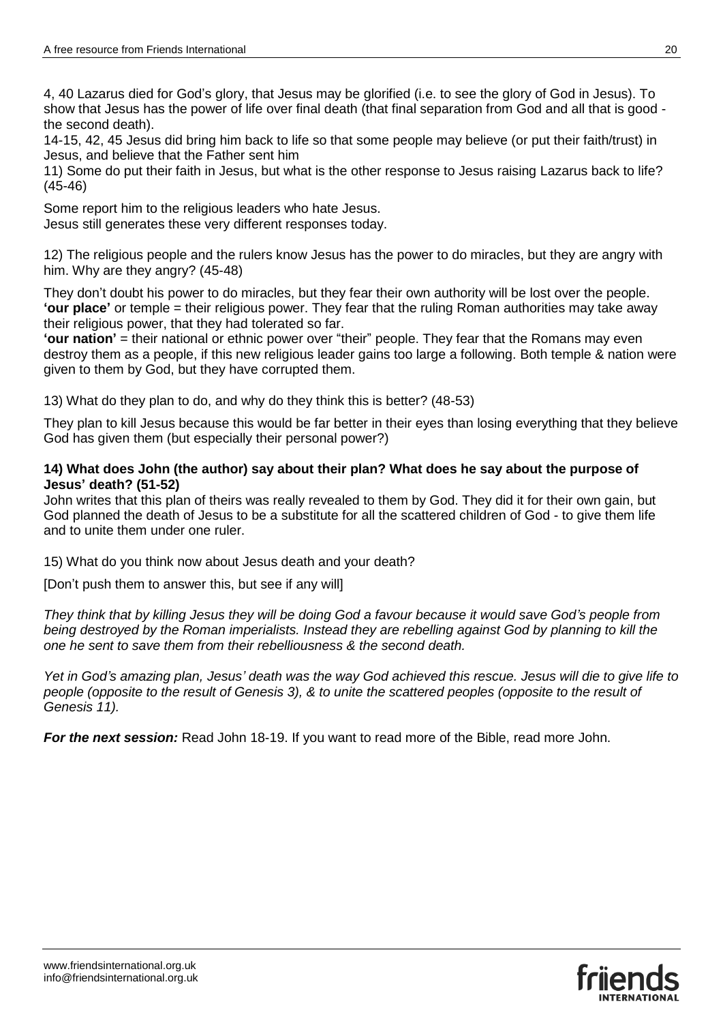4, 40 Lazarus died for God's glory, that Jesus may be glorified (i.e. to see the glory of God in Jesus). To show that Jesus has the power of life over final death (that final separation from God and all that is good the second death).

14-15, 42, 45 Jesus did bring him back to life so that some people may believe (or put their faith/trust) in Jesus, and believe that the Father sent him

11) Some do put their faith in Jesus, but what is the other response to Jesus raising Lazarus back to life? (45-46)

Some report him to the religious leaders who hate Jesus. Jesus still generates these very different responses today.

12) The religious people and the rulers know Jesus has the power to do miracles, but they are angry with him. Why are they angry? (45-48)

They don't doubt his power to do miracles, but they fear their own authority will be lost over the people. **'our place'** or temple = their religious power. They fear that the ruling Roman authorities may take away their religious power, that they had tolerated so far.

**'our nation'** = their national or ethnic power over "their" people. They fear that the Romans may even destroy them as a people, if this new religious leader gains too large a following. Both temple & nation were given to them by God, but they have corrupted them.

13) What do they plan to do, and why do they think this is better? (48-53)

They plan to kill Jesus because this would be far better in their eyes than losing everything that they believe God has given them (but especially their personal power?)

## **14) What does John (the author) say about their plan? What does he say about the purpose of Jesus' death? (51-52)**

John writes that this plan of theirs was really revealed to them by God. They did it for their own gain, but God planned the death of Jesus to be a substitute for all the scattered children of God - to give them life and to unite them under one ruler.

15) What do you think now about Jesus death and your death?

[Don't push them to answer this, but see if any will]

*They think that by killing Jesus they will be doing God a favour because it would save God's people from being destroyed by the Roman imperialists. Instead they are rebelling against God by planning to kill the one he sent to save them from their rebelliousness & the second death.* 

*Yet in God's amazing plan, Jesus' death was the way God achieved this rescue. Jesus will die to give life to people (opposite to the result of Genesis 3), & to unite the scattered peoples (opposite to the result of Genesis 11).* 

*For the next session:* Read John 18-19. If you want to read more of the Bible, read more John.

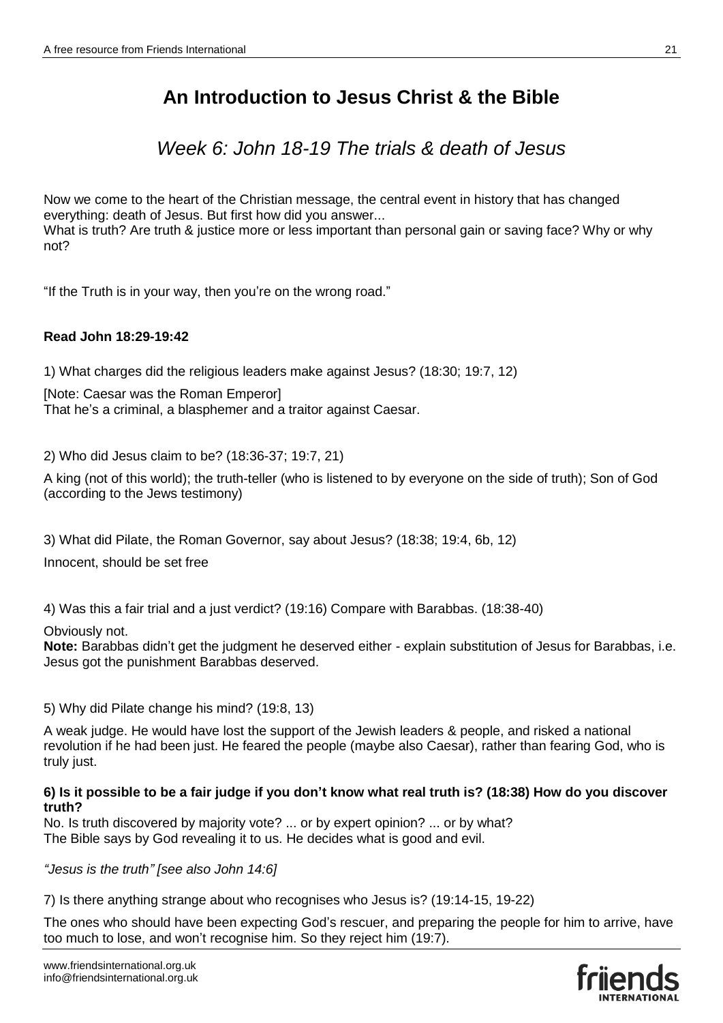*Week 6: John 18-19 The trials & death of Jesus*

Now we come to the heart of the Christian message, the central event in history that has changed everything: death of Jesus. But first how did you answer... What is truth? Are truth & justice more or less important than personal gain or saving face? Why or why not?

"If the Truth is in your way, then you're on the wrong road."

## **Read John 18:29-19:42**

1) What charges did the religious leaders make against Jesus? (18:30; 19:7, 12)

[Note: Caesar was the Roman Emperor] That he's a criminal, a blasphemer and a traitor against Caesar.

2) Who did Jesus claim to be? (18:36-37; 19:7, 21)

A king (not of this world); the truth-teller (who is listened to by everyone on the side of truth); Son of God (according to the Jews testimony)

3) What did Pilate, the Roman Governor, say about Jesus? (18:38; 19:4, 6b, 12)

Innocent, should be set free

4) Was this a fair trial and a just verdict? (19:16) Compare with Barabbas. (18:38-40)

Obviously not.

**Note:** Barabbas didn't get the judgment he deserved either - explain substitution of Jesus for Barabbas, i.e. Jesus got the punishment Barabbas deserved.

5) Why did Pilate change his mind? (19:8, 13)

A weak judge. He would have lost the support of the Jewish leaders & people, and risked a national revolution if he had been just. He feared the people (maybe also Caesar), rather than fearing God, who is truly just.

## **6) Is it possible to be a fair judge if you don't know what real truth is? (18:38) How do you discover truth?**

No. Is truth discovered by majority vote? ... or by expert opinion? ... or by what? The Bible says by God revealing it to us. He decides what is good and evil.

*"Jesus is the truth" [see also John 14:6]*

7) Is there anything strange about who recognises who Jesus is? (19:14-15, 19-22)

The ones who should have been expecting God's rescuer, and preparing the people for him to arrive, have too much to lose, and won't recognise him. So they reject him (19:7).

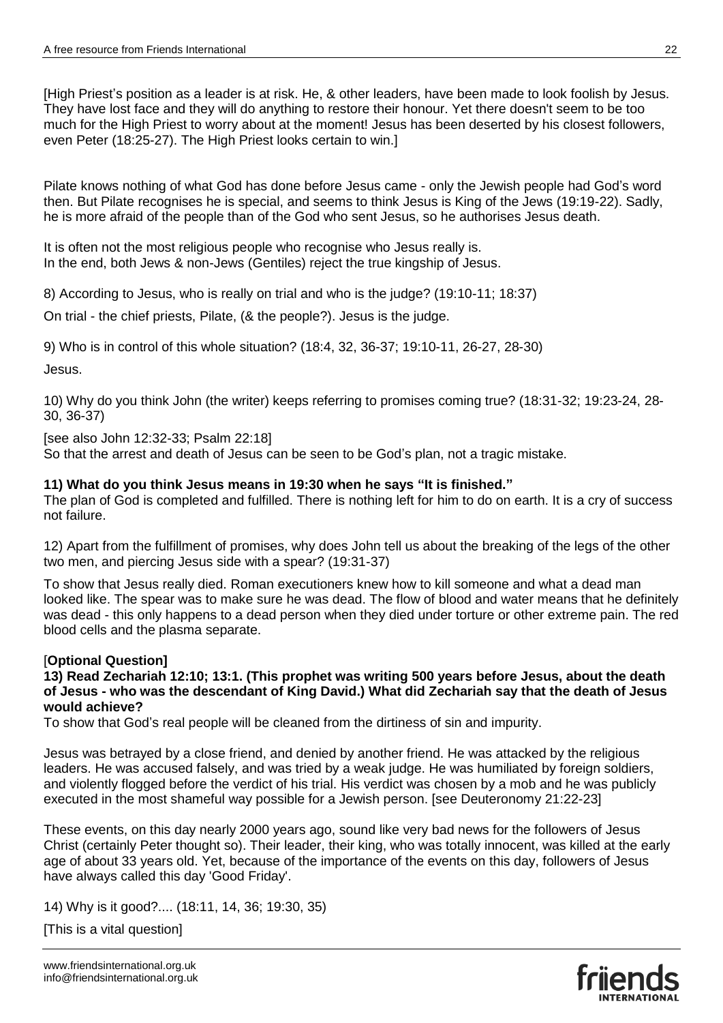[High Priest's position as a leader is at risk. He, & other leaders, have been made to look foolish by Jesus. They have lost face and they will do anything to restore their honour. Yet there doesn't seem to be too much for the High Priest to worry about at the moment! Jesus has been deserted by his closest followers, even Peter (18:25-27). The High Priest looks certain to win.]

Pilate knows nothing of what God has done before Jesus came - only the Jewish people had God's word then. But Pilate recognises he is special, and seems to think Jesus is King of the Jews (19:19-22). Sadly, he is more afraid of the people than of the God who sent Jesus, so he authorises Jesus death.

It is often not the most religious people who recognise who Jesus really is. In the end, both Jews & non-Jews (Gentiles) reject the true kingship of Jesus.

8) According to Jesus, who is really on trial and who is the judge? (19:10-11; 18:37)

On trial - the chief priests, Pilate, (& the people?). Jesus is the judge.

9) Who is in control of this whole situation? (18:4, 32, 36-37; 19:10-11, 26-27, 28-30)

Jesus.

10) Why do you think John (the writer) keeps referring to promises coming true? (18:31-32; 19:23-24, 28- 30, 36-37)

[see also John 12:32-33; Psalm 22:18] So that the arrest and death of Jesus can be seen to be God's plan, not a tragic mistake.

## **11) What do you think Jesus means in 19:30 when he says "It is finished."**

The plan of God is completed and fulfilled. There is nothing left for him to do on earth. It is a cry of success not failure.

12) Apart from the fulfillment of promises, why does John tell us about the breaking of the legs of the other two men, and piercing Jesus side with a spear? (19:31-37)

To show that Jesus really died. Roman executioners knew how to kill someone and what a dead man looked like. The spear was to make sure he was dead. The flow of blood and water means that he definitely was dead - this only happens to a dead person when they died under torture or other extreme pain. The red blood cells and the plasma separate.

## [**Optional Question]**

**13) Read Zechariah 12:10; 13:1. (This prophet was writing 500 years before Jesus, about the death of Jesus - who was the descendant of King David.) What did Zechariah say that the death of Jesus would achieve?**

To show that God's real people will be cleaned from the dirtiness of sin and impurity.

Jesus was betrayed by a close friend, and denied by another friend. He was attacked by the religious leaders. He was accused falsely, and was tried by a weak judge. He was humiliated by foreign soldiers, and violently flogged before the verdict of his trial. His verdict was chosen by a mob and he was publicly executed in the most shameful way possible for a Jewish person. [see Deuteronomy 21:22-23]

These events, on this day nearly 2000 years ago, sound like very bad news for the followers of Jesus Christ (certainly Peter thought so). Their leader, their king, who was totally innocent, was killed at the early age of about 33 years old. Yet, because of the importance of the events on this day, followers of Jesus have always called this day 'Good Friday'.

14) Why is it good?.... (18:11, 14, 36; 19:30, 35)

[This is a vital question]

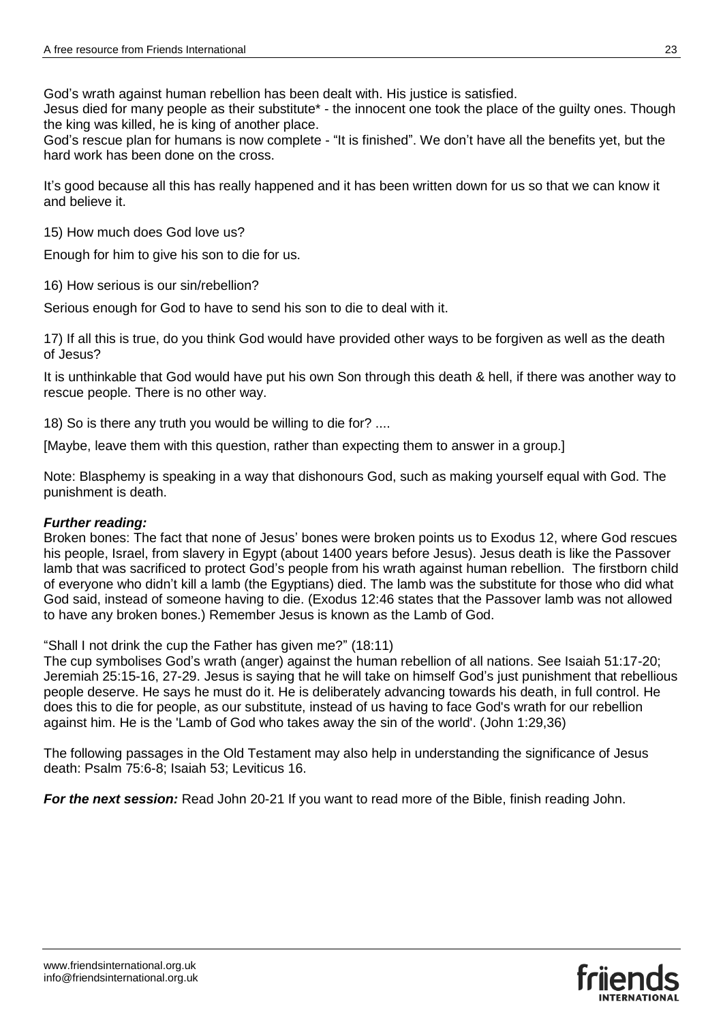God's wrath against human rebellion has been dealt with. His justice is satisfied.

Jesus died for many people as their substitute\* - the innocent one took the place of the guilty ones. Though the king was killed, he is king of another place.

God's rescue plan for humans is now complete - "It is finished". We don't have all the benefits yet, but the hard work has been done on the cross.

It's good because all this has really happened and it has been written down for us so that we can know it and believe it.

15) How much does God love us?

Enough for him to give his son to die for us.

16) How serious is our sin/rebellion?

Serious enough for God to have to send his son to die to deal with it.

17) If all this is true, do you think God would have provided other ways to be forgiven as well as the death of Jesus?

It is unthinkable that God would have put his own Son through this death & hell, if there was another way to rescue people. There is no other way.

18) So is there any truth you would be willing to die for? ....

[Maybe, leave them with this question, rather than expecting them to answer in a group.]

Note: Blasphemy is speaking in a way that dishonours God, such as making yourself equal with God. The punishment is death.

## *Further reading:*

Broken bones: The fact that none of Jesus' bones were broken points us to Exodus 12, where God rescues his people, Israel, from slavery in Egypt (about 1400 years before Jesus). Jesus death is like the Passover lamb that was sacrificed to protect God's people from his wrath against human rebellion. The firstborn child of everyone who didn't kill a lamb (the Egyptians) died. The lamb was the substitute for those who did what God said, instead of someone having to die. (Exodus 12:46 states that the Passover lamb was not allowed to have any broken bones.) Remember Jesus is known as the Lamb of God.

"Shall I not drink the cup the Father has given me?" (18:11)

The cup symbolises God's wrath (anger) against the human rebellion of all nations. See Isaiah 51:17-20; Jeremiah 25:15-16, 27-29. Jesus is saying that he will take on himself God's just punishment that rebellious people deserve. He says he must do it. He is deliberately advancing towards his death, in full control. He does this to die for people, as our substitute, instead of us having to face God's wrath for our rebellion against him. He is the 'Lamb of God who takes away the sin of the world'. (John 1:29,36)

The following passages in the Old Testament may also help in understanding the significance of Jesus death: Psalm 75:6-8; Isaiah 53; Leviticus 16.

*For the next session:* Read John 20-21 If you want to read more of the Bible, finish reading John.

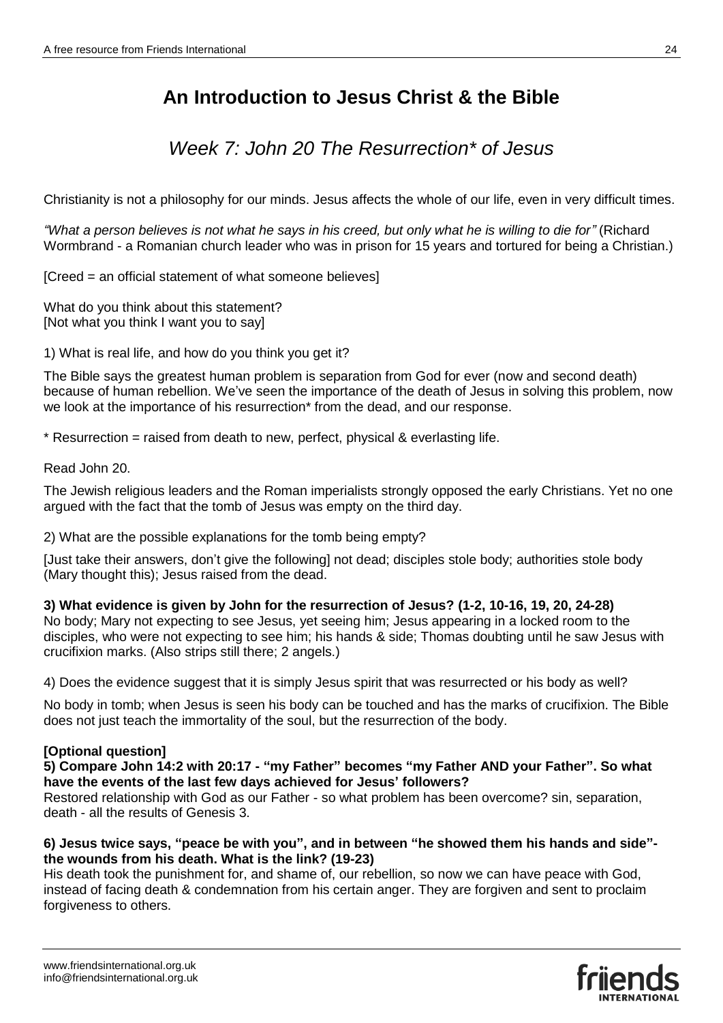## *Week 7: John 20 The Resurrection\* of Jesus*

Christianity is not a philosophy for our minds. Jesus affects the whole of our life, even in very difficult times.

*"What a person believes is not what he says in his creed, but only what he is willing to die for"* (Richard Wormbrand - a Romanian church leader who was in prison for 15 years and tortured for being a Christian.)

[Creed = an official statement of what someone believes]

What do you think about this statement? [Not what you think I want you to say]

1) What is real life, and how do you think you get it?

The Bible says the greatest human problem is separation from God for ever (now and second death) because of human rebellion. We've seen the importance of the death of Jesus in solving this problem, now we look at the importance of his resurrection\* from the dead, and our response.

\* Resurrection = raised from death to new, perfect, physical & everlasting life.

Read John 20.

The Jewish religious leaders and the Roman imperialists strongly opposed the early Christians. Yet no one argued with the fact that the tomb of Jesus was empty on the third day.

2) What are the possible explanations for the tomb being empty?

[Just take their answers, don't give the following] not dead; disciples stole body; authorities stole body (Mary thought this); Jesus raised from the dead.

**3) What evidence is given by John for the resurrection of Jesus? (1-2, 10-16, 19, 20, 24-28)**

No body; Mary not expecting to see Jesus, yet seeing him; Jesus appearing in a locked room to the disciples, who were not expecting to see him; his hands & side; Thomas doubting until he saw Jesus with crucifixion marks. (Also strips still there; 2 angels.)

4) Does the evidence suggest that it is simply Jesus spirit that was resurrected or his body as well?

No body in tomb; when Jesus is seen his body can be touched and has the marks of crucifixion. The Bible does not just teach the immortality of the soul, but the resurrection of the body.

## **[Optional question]**

#### **5) Compare John 14:2 with 20:17 - "my Father" becomes "my Father AND your Father". So what have the events of the last few days achieved for Jesus' followers?**

Restored relationship with God as our Father - so what problem has been overcome? sin, separation, death - all the results of Genesis 3.

## **6) Jesus twice says, "peace be with you", and in between "he showed them his hands and side" the wounds from his death. What is the link? (19-23)**

His death took the punishment for, and shame of, our rebellion, so now we can have peace with God, instead of facing death & condemnation from his certain anger. They are forgiven and sent to proclaim forgiveness to others.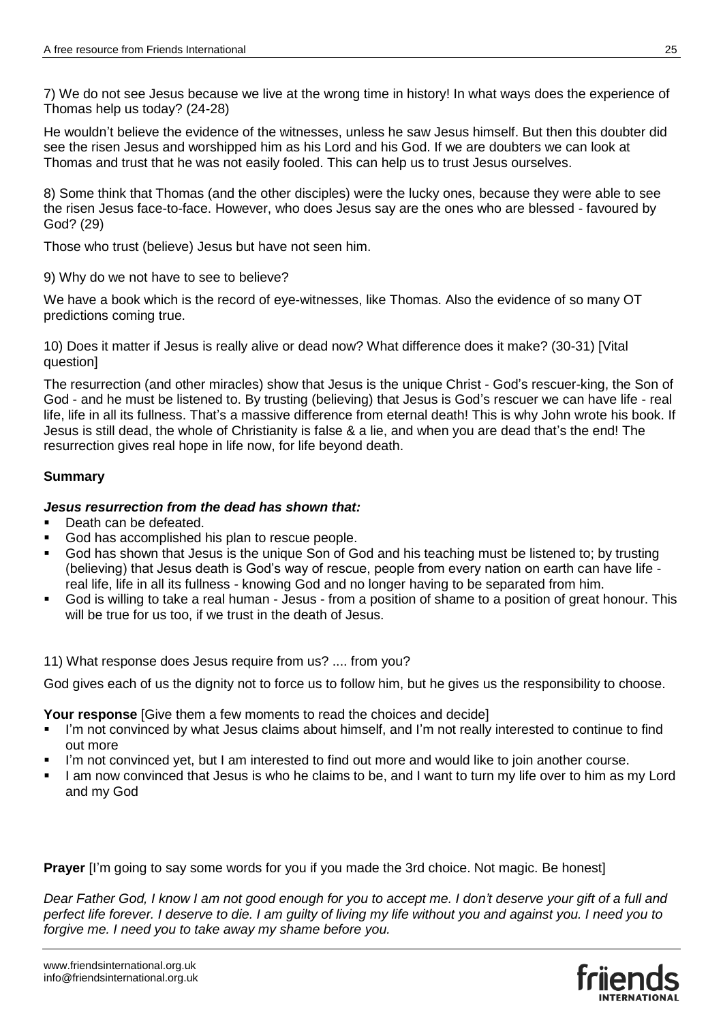7) We do not see Jesus because we live at the wrong time in history! In what ways does the experience of Thomas help us today? (24-28)

He wouldn't believe the evidence of the witnesses, unless he saw Jesus himself. But then this doubter did see the risen Jesus and worshipped him as his Lord and his God. If we are doubters we can look at Thomas and trust that he was not easily fooled. This can help us to trust Jesus ourselves.

8) Some think that Thomas (and the other disciples) were the lucky ones, because they were able to see the risen Jesus face-to-face. However, who does Jesus say are the ones who are blessed - favoured by God? (29)

Those who trust (believe) Jesus but have not seen him.

9) Why do we not have to see to believe?

We have a book which is the record of eye-witnesses, like Thomas. Also the evidence of so many OT predictions coming true.

10) Does it matter if Jesus is really alive or dead now? What difference does it make? (30-31) [Vital question]

The resurrection (and other miracles) show that Jesus is the unique Christ - God's rescuer-king, the Son of God - and he must be listened to. By trusting (believing) that Jesus is God's rescuer we can have life - real life, life in all its fullness. That's a massive difference from eternal death! This is why John wrote his book. If Jesus is still dead, the whole of Christianity is false & a lie, and when you are dead that's the end! The resurrection gives real hope in life now, for life beyond death.

## **Summary**

## *Jesus resurrection from the dead has shown that:*

- Death can be defeated.
- God has accomplished his plan to rescue people.
- God has shown that Jesus is the unique Son of God and his teaching must be listened to; by trusting (believing) that Jesus death is God's way of rescue, people from every nation on earth can have life real life, life in all its fullness - knowing God and no longer having to be separated from him.
- God is willing to take a real human Jesus from a position of shame to a position of great honour. This will be true for us too, if we trust in the death of Jesus.

11) What response does Jesus require from us? .... from you?

God gives each of us the dignity not to force us to follow him, but he gives us the responsibility to choose.

**Your response** [Give them a few moments to read the choices and decide]

- I'm not convinced by what Jesus claims about himself, and I'm not really interested to continue to find out more
- I'm not convinced yet, but I am interested to find out more and would like to join another course.
- I am now convinced that Jesus is who he claims to be, and I want to turn my life over to him as my Lord and my God

**Prayer** I'm going to say some words for you if you made the 3rd choice. Not magic. Be honest

*Dear Father God, I know I am not good enough for you to accept me. I don't deserve your gift of a full and perfect life forever. I deserve to die. I am guilty of living my life without you and against you. I need you to forgive me. I need you to take away my shame before you.*